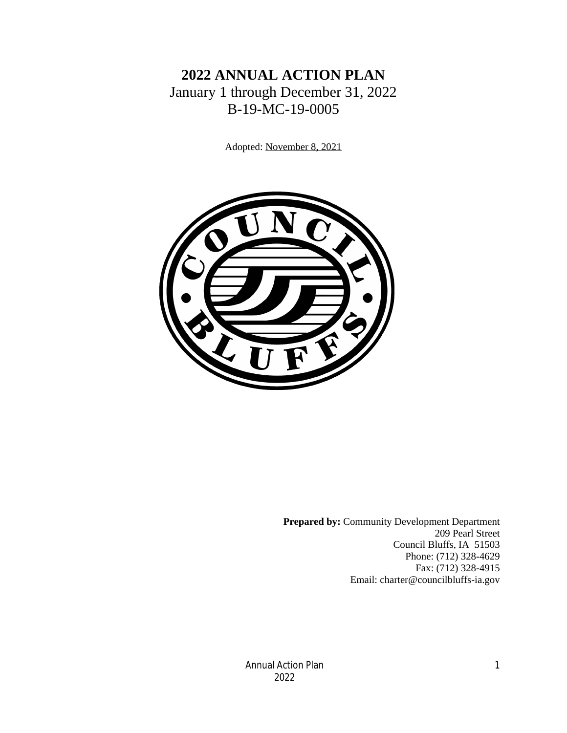# **2022 ANNUAL ACTION PLAN** January 1 through December 31, 2022 B-19-MC-19-0005

Adopted: November 8, 2021



**Prepared by:** Community Development Department 209 Pearl Street Council Bluffs, IA 51503 Phone: (712) 328-4629 Fax: (712) 328-4915 Email: charter[@councilbluffs-ia.gov](mailto:cb-cddept@uswest.net)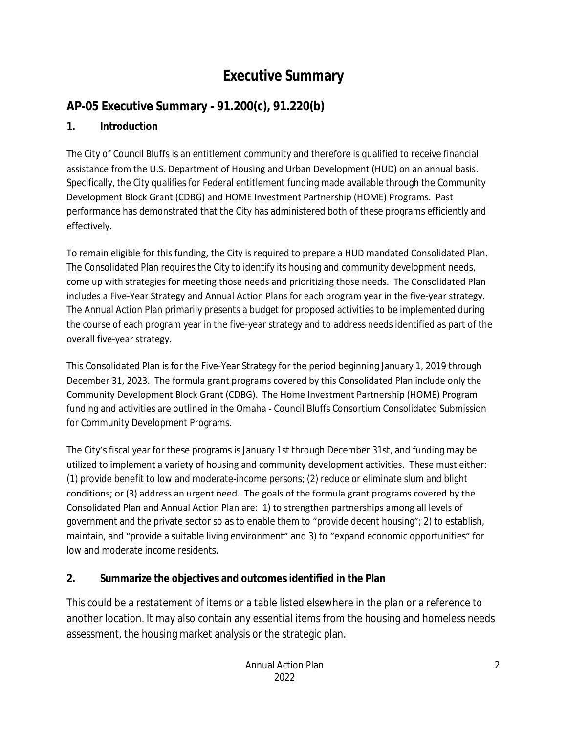# **Executive Summary**

# **AP-05 Executive Summary - 91.200(c), 91.220(b)**

## **1. Introduction**

The City of Council Bluffs is an entitlement community and therefore is qualified to receive financial assistance from the U.S. Department of Housing and Urban Development (HUD) on an annual basis. Specifically, the City qualifies for Federal entitlement funding made available through the Community Development Block Grant (CDBG) and HOME Investment Partnership (HOME) Programs. Past performance has demonstrated that the City has administered both of these programs efficiently and effectively.

To remain eligible for this funding, the City is required to prepare a HUD mandated Consolidated Plan. The Consolidated Plan requires the City to identify its housing and community development needs, come up with strategies for meeting those needs and prioritizing those needs. The Consolidated Plan includes a Five-Year Strategy and Annual Action Plans for each program year in the five-year strategy. The Annual Action Plan primarily presents a budget for proposed activities to be implemented during the course of each program year in the five-year strategy and to address needs identified as part of the overall five-year strategy.

This Consolidated Plan is for the Five-Year Strategy for the period beginning January 1, 2019 through December 31, 2023. The formula grant programs covered by this Consolidated Plan include only the Community Development Block Grant (CDBG). The Home Investment Partnership (HOME) Program funding and activities are outlined in the Omaha - Council Bluffs Consortium Consolidated Submission for Community Development Programs.

The City's fiscal year for these programs is January 1st through December 31st, and funding may be utilized to implement a variety of housing and community development activities. These must either: (1) provide benefit to low and moderate-income persons; (2) reduce or eliminate slum and blight conditions; or (3) address an urgent need. The goals of the formula grant programs covered by the Consolidated Plan and Annual Action Plan are: 1) to strengthen partnerships among all levels of government and the private sector so as to enable them to "provide decent housing"; 2) to establish, maintain, and "provide a suitable living environment" and 3) to "expand economic opportunities" for low and moderate income residents.

# **2. Summarize the objectives and outcomes identified in the Plan**

This could be a restatement of items or a table listed elsewhere in the plan or a reference to another location. It may also contain any essential items from the housing and homeless needs assessment, the housing market analysis or the strategic plan.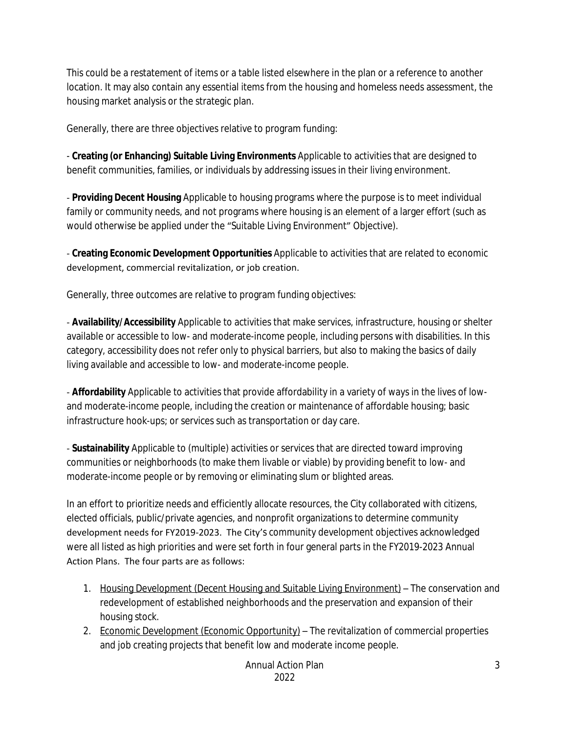This could be a restatement of items or a table listed elsewhere in the plan or a reference to another location. It may also contain any essential items from the housing and homeless needs assessment, the housing market analysis or the strategic plan.

Generally, there are three objectives relative to program funding:

- **Creating (or Enhancing) Suitable Living Environments** Applicable to activities that are designed to benefit communities, families, or individuals by addressing issues in their living environment.

- **Providing Decent Housing** Applicable to housing programs where the purpose is to meet individual family or community needs, and not programs where housing is an element of a larger effort (such as would otherwise be applied under the "Suitable Living Environment" Objective).

- **Creating Economic Development Opportunities** Applicable to activities that are related to economic development, commercial revitalization, or job creation.

Generally, three outcomes are relative to program funding objectives:

- **Availability/Accessibility** Applicable to activities that make services, infrastructure, housing or shelter available or accessible to low- and moderate-income people, including persons with disabilities. In this category, accessibility does not refer only to physical barriers, but also to making the basics of daily living available and accessible to low- and moderate-income people.

- **Affordability** Applicable to activities that provide affordability in a variety of ways in the lives of lowand moderate-income people, including the creation or maintenance of affordable housing; basic infrastructure hook-ups; or services such as transportation or day care.

- **Sustainability** Applicable to (multiple) activities or services that are directed toward improving communities or neighborhoods (to make them livable or viable) by providing benefit to low- and moderate-income people or by removing or eliminating slum or blighted areas.

In an effort to prioritize needs and efficiently allocate resources, the City collaborated with citizens, elected officials, public/private agencies, and nonprofit organizations to determine community development needs for FY2019-2023. The City's community development objectives acknowledged were all listed as high priorities and were set forth in four general parts in the FY2019-2023 Annual Action Plans. The four parts are as follows:

- 1. Housing Development (Decent Housing and Suitable Living Environment) The conservation and redevelopment of established neighborhoods and the preservation and expansion of their housing stock.
- 2. Economic Development (Economic Opportunity) The revitalization of commercial properties and job creating projects that benefit low and moderate income people.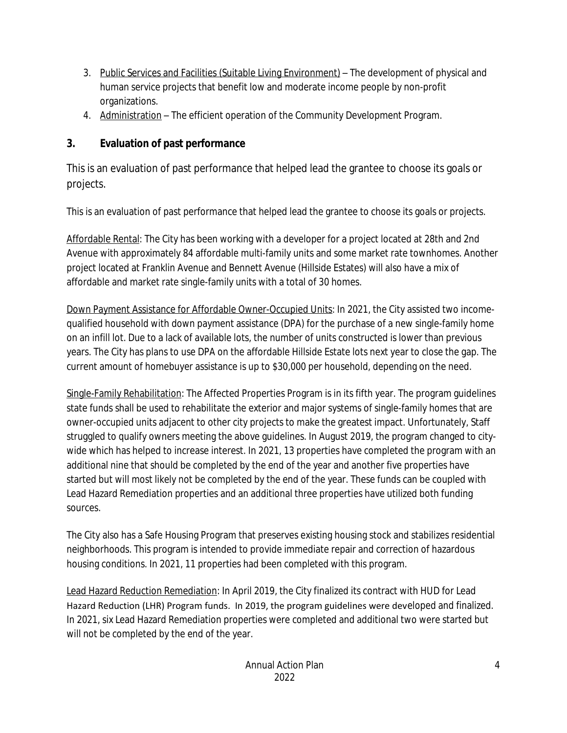- 3. Public Services and Facilities (Suitable Living Environment) The development of physical and human service projects that benefit low and moderate income people by non-profit organizations.
- 4. Administration The efficient operation of the Community Development Program.

## **3. Evaluation of past performance**

This is an evaluation of past performance that helped lead the grantee to choose its goals or projects.

This is an evaluation of past performance that helped lead the grantee to choose its goals or projects.

Affordable Rental: The City has been working with a developer for a project located at 28th and 2nd Avenue with approximately 84 affordable multi-family units and some market rate townhomes. Another project located at Franklin Avenue and Bennett Avenue (Hillside Estates) will also have a mix of affordable and market rate single-family units with a total of 30 homes.

Down Payment Assistance for Affordable Owner-Occupied Units: In 2021, the City assisted two incomequalified household with down payment assistance (DPA) for the purchase of a new single-family home on an infill lot. Due to a lack of available lots, the number of units constructed is lower than previous years. The City has plans to use DPA on the affordable Hillside Estate lots next year to close the gap. The current amount of homebuyer assistance is up to \$30,000 per household, depending on the need.

Single-Family Rehabilitation: The Affected Properties Program is in its fifth year. The program guidelines state funds shall be used to rehabilitate the exterior and major systems of single-family homes that are owner-occupied units adjacent to other city projects to make the greatest impact. Unfortunately, Staff struggled to qualify owners meeting the above guidelines. In August 2019, the program changed to citywide which has helped to increase interest. In 2021, 13 properties have completed the program with an additional nine that should be completed by the end of the year and another five properties have started but will most likely not be completed by the end of the year. These funds can be coupled with Lead Hazard Remediation properties and an additional three properties have utilized both funding sources.

The City also has a Safe Housing Program that preserves existing housing stock and stabilizes residential neighborhoods. This program is intended to provide immediate repair and correction of hazardous housing conditions. In 2021, 11 properties had been completed with this program.

Lead Hazard Reduction Remediation: In April 2019, the City finalized its contract with HUD for Lead Hazard Reduction (LHR) Program funds. In 2019, the program guidelines were developed and finalized. In 2021, six Lead Hazard Remediation properties were completed and additional two were started but will not be completed by the end of the year.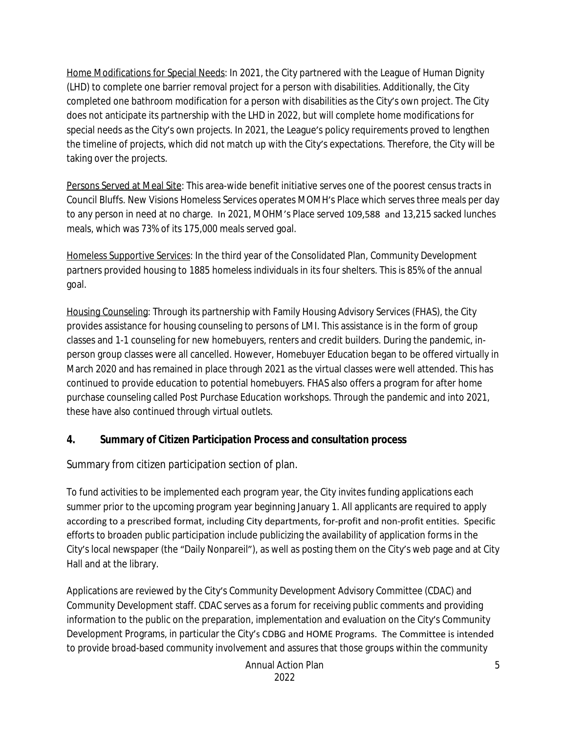Home Modifications for Special Needs: In 2021, the City partnered with the League of Human Dignity (LHD) to complete one barrier removal project for a person with disabilities. Additionally, the City completed one bathroom modification for a person with disabilities as the City's own project. The City does not anticipate its partnership with the LHD in 2022, but will complete home modifications for special needs as the City's own projects. In 2021, the League's policy requirements proved to lengthen the timeline of projects, which did not match up with the City's expectations. Therefore, the City will be taking over the projects.

Persons Served at Meal Site: This area-wide benefit initiative serves one of the poorest census tracts in Council Bluffs. New Visions Homeless Services operates MOMH's Place which serves three meals per day to any person in need at no charge. In 2021, MOHM's Place served 109,588 and 13,215 sacked lunches meals, which was 73% of its 175,000 meals served goal.

Homeless Supportive Services: In the third year of the Consolidated Plan, Community Development partners provided housing to 1885 homeless individuals in its four shelters. This is 85% of the annual goal.

Housing Counseling: Through its partnership with Family Housing Advisory Services (FHAS), the City provides assistance for housing counseling to persons of LMI. This assistance is in the form of group classes and 1-1 counseling for new homebuyers, renters and credit builders. During the pandemic, inperson group classes were all cancelled. However, Homebuyer Education began to be offered virtually in March 2020 and has remained in place through 2021 as the virtual classes were well attended. This has continued to provide education to potential homebuyers. FHAS also offers a program for after home purchase counseling called Post Purchase Education workshops. Through the pandemic and into 2021, these have also continued through virtual outlets.

### **4. Summary of Citizen Participation Process and consultation process**

Summary from citizen participation section of plan.

To fund activities to be implemented each program year, the City invites funding applications each summer prior to the upcoming program year beginning January 1. All applicants are required to apply according to a prescribed format, including City departments, for-profit and non-profit entities. Specific efforts to broaden public participation include publicizing the availability of application forms in the City's local newspaper (the "Daily Nonpareil"), as well as posting them on the City's web page and at City Hall and at the library.

Applications are reviewed by the City's Community Development Advisory Committee (CDAC) and Community Development staff. CDAC serves as a forum for receiving public comments and providing information to the public on the preparation, implementation and evaluation on the City's Community Development Programs, in particular the City's CDBG and HOME Programs. The Committee is intended to provide broad-based community involvement and assures that those groups within the community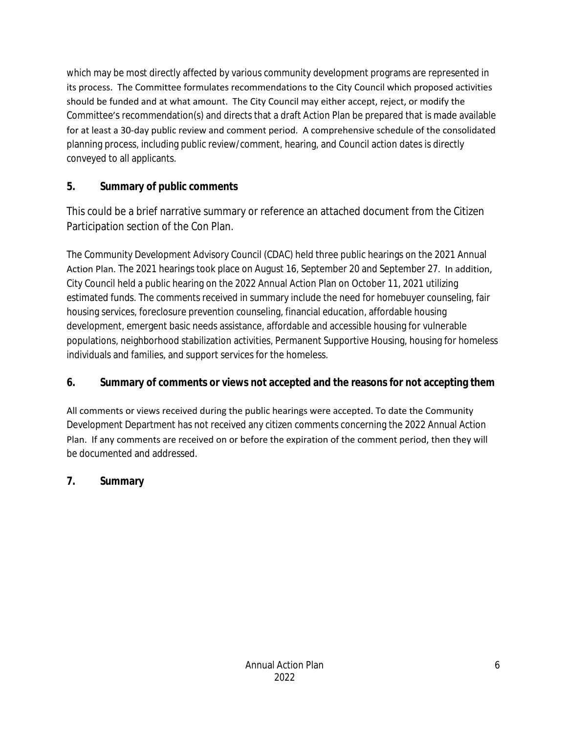which may be most directly affected by various community development programs are represented in its process. The Committee formulates recommendations to the City Council which proposed activities should be funded and at what amount. The City Council may either accept, reject, or modify the Committee's recommendation(s) and directs that a draft Action Plan be prepared that is made available for at least a 30-day public review and comment period. A comprehensive schedule of the consolidated planning process, including public review/comment, hearing, and Council action dates is directly conveyed to all applicants.

### **5. Summary of public comments**

This could be a brief narrative summary or reference an attached document from the Citizen Participation section of the Con Plan.

The Community Development Advisory Council (CDAC) held three public hearings on the 2021 Annual Action Plan. The 2021 hearings took place on August 16, September 20 and September 27. In addition, City Council held a public hearing on the 2022 Annual Action Plan on October 11, 2021 utilizing estimated funds. The comments received in summary include the need for homebuyer counseling, fair housing services, foreclosure prevention counseling, financial education, affordable housing development, emergent basic needs assistance, affordable and accessible housing for vulnerable populations, neighborhood stabilization activities, Permanent Supportive Housing, housing for homeless individuals and families, and support services for the homeless.

### **6. Summary of comments or views not accepted and the reasons for not accepting them**

All comments or views received during the public hearings were accepted. To date the Community Development Department has not received any citizen comments concerning the 2022 Annual Action Plan. If any comments are received on or before the expiration of the comment period, then they will be documented and addressed.

### **7. Summary**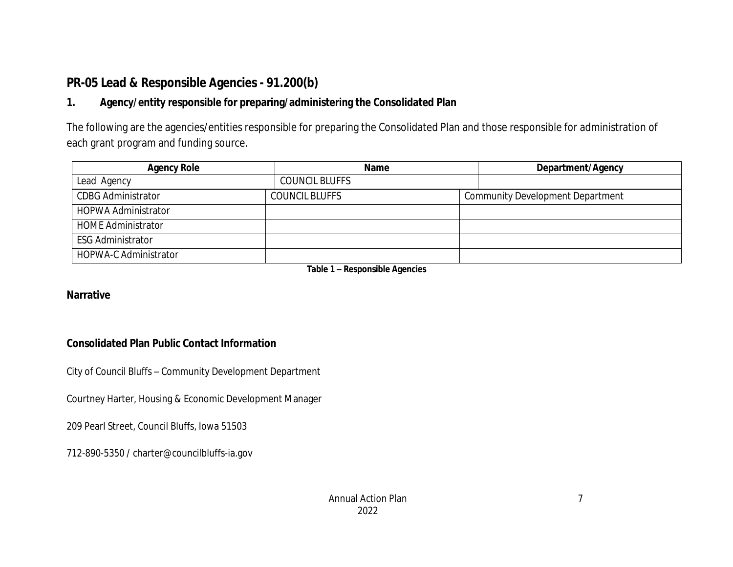# **PR-05 Lead & Responsible Agencies - 91.200(b)**

# **1. Agency/entity responsible for preparing/administering the Consolidated Plan**

The following are the agencies/entities responsible for preparing the Consolidated Plan and those responsible for administration of each grant program and funding source.

| <b>Agency Role</b>           | <b>Name</b>    | Department/Agency                       |
|------------------------------|----------------|-----------------------------------------|
| Lead Agency                  | COUNCIL BLUFFS |                                         |
| <b>CDBG Administrator</b>    | COUNCIL BLUFFS | <b>Community Development Department</b> |
| <b>HOPWA Administrator</b>   |                |                                         |
| <b>HOME Administrator</b>    |                |                                         |
| <b>ESG Administrator</b>     |                |                                         |
| <b>HOPWA-C Administrator</b> |                |                                         |

**Table 1 – Responsible Agencies**

#### **Narrative**

### **Consolidated Plan Public Contact Information**

City of Council Bluffs – Community Development Department

Courtney Harter, Housing & Economic Development Manager

209 Pearl Street, Council Bluffs, Iowa 51503

712-890-5350 / charter@councilbluffs-ia.gov

7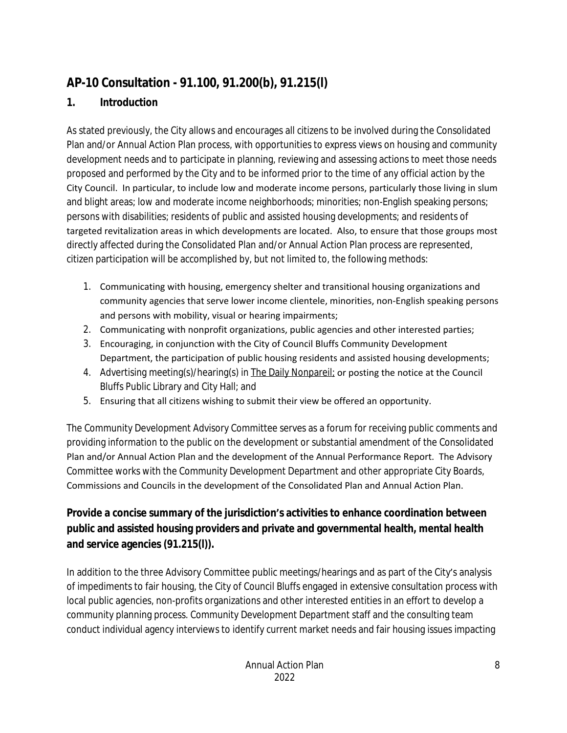# **AP-10 Consultation - 91.100, 91.200(b), 91.215(l)**

### **1. Introduction**

As stated previously, the City allows and encourages all citizens to be involved during the Consolidated Plan and/or Annual Action Plan process, with opportunities to express views on housing and community development needs and to participate in planning, reviewing and assessing actions to meet those needs proposed and performed by the City and to be informed prior to the time of any official action by the City Council. In particular, to include low and moderate income persons, particularly those living in slum and blight areas; low and moderate income neighborhoods; minorities; non-English speaking persons; persons with disabilities; residents of public and assisted housing developments; and residents of targeted revitalization areas in which developments are located. Also, to ensure that those groups most directly affected during the Consolidated Plan and/or Annual Action Plan process are represented, citizen participation will be accomplished by, but not limited to, the following methods:

- 1. Communicating with housing, emergency shelter and transitional housing organizations and community agencies that serve lower income clientele, minorities, non-English speaking persons and persons with mobility, visual or hearing impairments;
- 2. Communicating with nonprofit organizations, public agencies and other interested parties;
- 3. Encouraging, in conjunction with the City of Council Bluffs Community Development Department, the participation of public housing residents and assisted housing developments;
- 4. Advertising meeting(s)/hearing(s) in The Daily Nonpareil; or posting the notice at the Council Bluffs Public Library and City Hall; and
- 5. Ensuring that all citizens wishing to submit their view be offered an opportunity.

The Community Development Advisory Committee serves as a forum for receiving public comments and providing information to the public on the development or substantial amendment of the Consolidated Plan and/or Annual Action Plan and the development of the Annual Performance Report. The Advisory Committee works with the Community Development Department and other appropriate City Boards, Commissions and Councils in the development of the Consolidated Plan and Annual Action Plan.

## **Provide a concise summary of the jurisdiction's activities to enhance coordination between public and assisted housing providers and private and governmental health, mental health and service agencies (91.215(l)).**

In addition to the three Advisory Committee public meetings/hearings and as part of the City's analysis of impediments to fair housing, the City of Council Bluffs engaged in extensive consultation process with local public agencies, non-profits organizations and other interested entities in an effort to develop a community planning process. Community Development Department staff and the consulting team conduct individual agency interviews to identify current market needs and fair housing issues impacting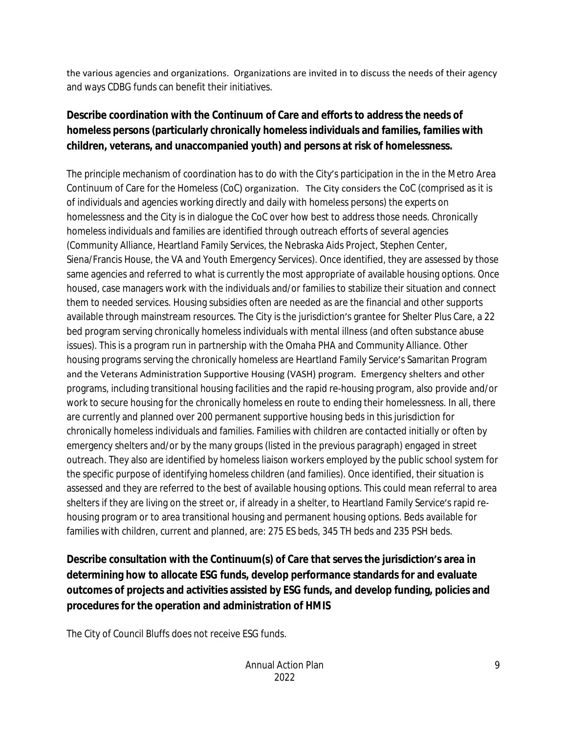the various agencies and organizations. Organizations are invited in to discuss the needs of their agency and ways CDBG funds can benefit their initiatives.

## **Describe coordination with the Continuum of Care and efforts to address the needs of homeless persons (particularly chronically homeless individuals and families, families with children, veterans, and unaccompanied youth) and persons at risk of homelessness.**

The principle mechanism of coordination has to do with the City's participation in the in the Metro Area Continuum of Care for the Homeless (CoC) organization. The City considers the CoC (comprised as it is of individuals and agencies working directly and daily with homeless persons) the experts on homelessness and the City is in dialogue the CoC over how best to address those needs. Chronically homeless individuals and families are identified through outreach efforts of several agencies (Community Alliance, Heartland Family Services, the Nebraska Aids Project, Stephen Center, Siena/Francis House, the VA and Youth Emergency Services). Once identified, they are assessed by those same agencies and referred to what is currently the most appropriate of available housing options. Once housed, case managers work with the individuals and/or families to stabilize their situation and connect them to needed services. Housing subsidies often are needed as are the financial and other supports available through mainstream resources. The City is the jurisdiction's grantee for Shelter Plus Care, a 22 bed program serving chronically homeless individuals with mental illness (and often substance abuse issues). This is a program run in partnership with the Omaha PHA and Community Alliance. Other housing programs serving the chronically homeless are Heartland Family Service's Samaritan Program and the Veterans Administration Supportive Housing (VASH) program. Emergency shelters and other programs, including transitional housing facilities and the rapid re-housing program, also provide and/or work to secure housing for the chronically homeless en route to ending their homelessness. In all, there are currently and planned over 200 permanent supportive housing beds in this jurisdiction for chronically homeless individuals and families. Families with children are contacted initially or often by emergency shelters and/or by the many groups (listed in the previous paragraph) engaged in street outreach. They also are identified by homeless liaison workers employed by the public school system for the specific purpose of identifying homeless children (and families). Once identified, their situation is assessed and they are referred to the best of available housing options. This could mean referral to area shelters if they are living on the street or, if already in a shelter, to Heartland Family Service's rapid rehousing program or to area transitional housing and permanent housing options. Beds available for families with children, current and planned, are: 275 ES beds, 345 TH beds and 235 PSH beds.

**Describe consultation with the Continuum(s) of Care that serves the jurisdiction's area in determining how to allocate ESG funds, develop performance standards for and evaluate outcomes of projects and activities assisted by ESG funds, and develop funding, policies and procedures for the operation and administration of HMIS**

The City of Council Bluffs does not receive ESG funds.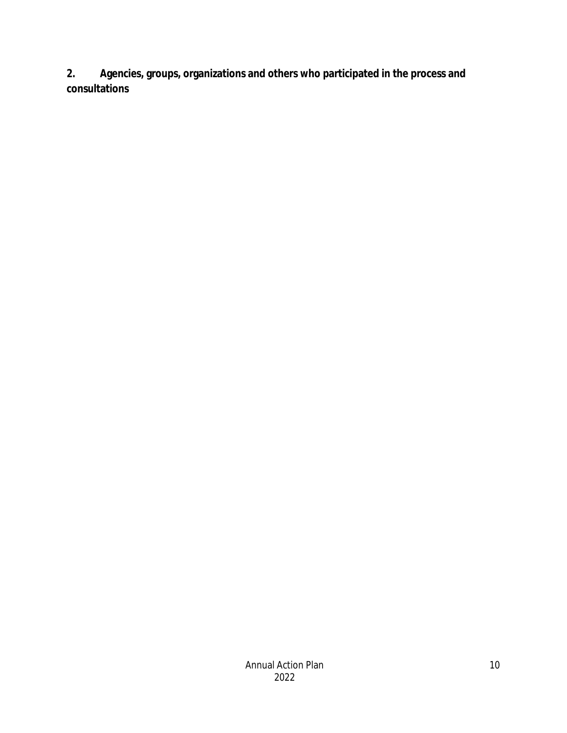**2. Agencies, groups, organizations and others who participated in the process and consultations**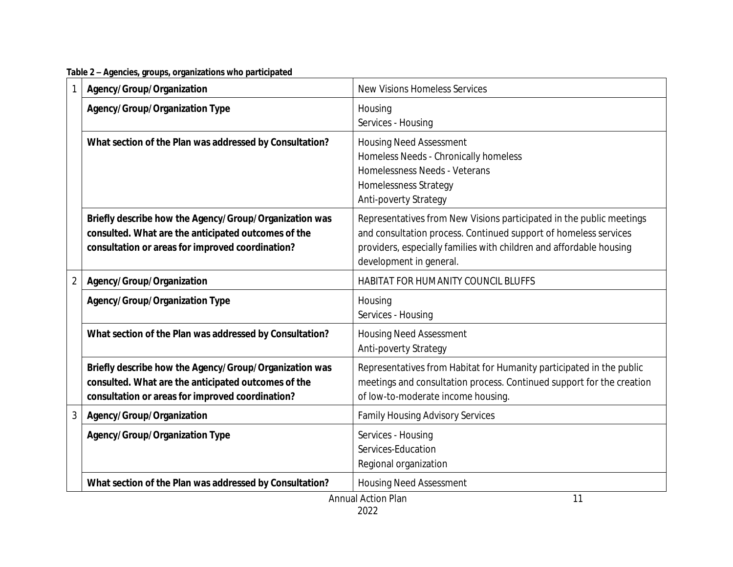| 1              | Agency/Group/Organization                                                                                                                                         | <b>New Visions Homeless Services</b>                                                                                                                                                                                                       |
|----------------|-------------------------------------------------------------------------------------------------------------------------------------------------------------------|--------------------------------------------------------------------------------------------------------------------------------------------------------------------------------------------------------------------------------------------|
|                | Agency/Group/Organization Type                                                                                                                                    | Housing<br>Services - Housing                                                                                                                                                                                                              |
|                | What section of the Plan was addressed by Consultation?                                                                                                           | <b>Housing Need Assessment</b><br>Homeless Needs - Chronically homeless<br>Homelessness Needs - Veterans<br>Homelessness Strategy<br>Anti-poverty Strategy                                                                                 |
|                | Briefly describe how the Agency/Group/Organization was<br>consulted. What are the anticipated outcomes of the<br>consultation or areas for improved coordination? | Representatives from New Visions participated in the public meetings<br>and consultation process. Continued support of homeless services<br>providers, especially families with children and affordable housing<br>development in general. |
| $\overline{2}$ | Agency/Group/Organization                                                                                                                                         | HABITAT FOR HUMANITY COUNCIL BLUFFS                                                                                                                                                                                                        |
|                | Agency/Group/Organization Type                                                                                                                                    | Housing<br>Services - Housing                                                                                                                                                                                                              |
|                | What section of the Plan was addressed by Consultation?                                                                                                           | <b>Housing Need Assessment</b><br>Anti-poverty Strategy                                                                                                                                                                                    |
|                | Briefly describe how the Agency/Group/Organization was<br>consulted. What are the anticipated outcomes of the<br>consultation or areas for improved coordination? | Representatives from Habitat for Humanity participated in the public<br>meetings and consultation process. Continued support for the creation<br>of low-to-moderate income housing.                                                        |
| 3              | Agency/Group/Organization                                                                                                                                         | <b>Family Housing Advisory Services</b>                                                                                                                                                                                                    |
|                | Agency/Group/Organization Type                                                                                                                                    | Services - Housing<br>Services-Education<br>Regional organization                                                                                                                                                                          |
|                | What section of the Plan was addressed by Consultation?                                                                                                           | <b>Housing Need Assessment</b>                                                                                                                                                                                                             |
|                |                                                                                                                                                                   | <b>Annual Action Plan</b><br>11                                                                                                                                                                                                            |

#### **Table 2 – Agencies, groups, organizations who participated**

2022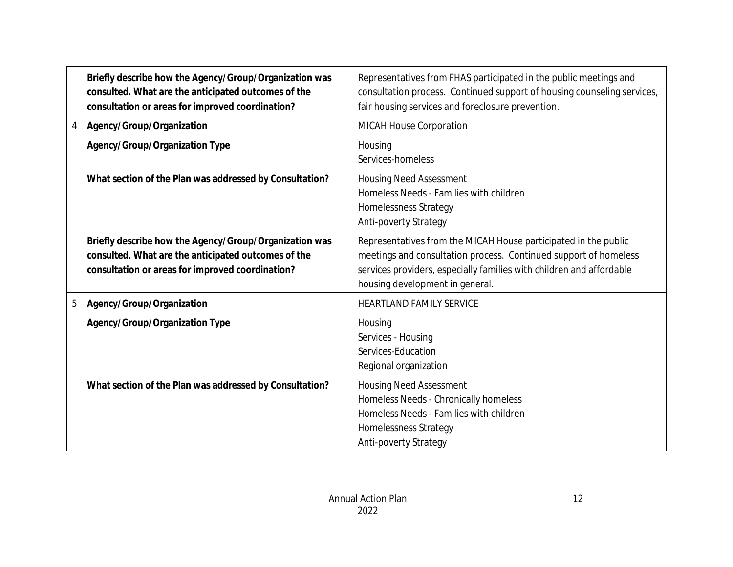|   | Briefly describe how the Agency/Group/Organization was<br>consulted. What are the anticipated outcomes of the<br>consultation or areas for improved coordination? | Representatives from FHAS participated in the public meetings and<br>consultation process. Continued support of housing counseling services,<br>fair housing services and foreclosure prevention.                                              |
|---|-------------------------------------------------------------------------------------------------------------------------------------------------------------------|------------------------------------------------------------------------------------------------------------------------------------------------------------------------------------------------------------------------------------------------|
| 4 | Agency/Group/Organization                                                                                                                                         | MICAH House Corporation                                                                                                                                                                                                                        |
|   | Agency/Group/Organization Type                                                                                                                                    | Housing<br>Services-homeless                                                                                                                                                                                                                   |
|   | What section of the Plan was addressed by Consultation?                                                                                                           | <b>Housing Need Assessment</b><br>Homeless Needs - Families with children<br>Homelessness Strategy<br>Anti-poverty Strategy                                                                                                                    |
|   | Briefly describe how the Agency/Group/Organization was<br>consulted. What are the anticipated outcomes of the<br>consultation or areas for improved coordination? | Representatives from the MICAH House participated in the public<br>meetings and consultation process. Continued support of homeless<br>services providers, especially families with children and affordable<br>housing development in general. |
| 5 | Agency/Group/Organization                                                                                                                                         | <b>HEARTLAND FAMILY SERVICE</b>                                                                                                                                                                                                                |
|   | Agency/Group/Organization Type                                                                                                                                    | Housing<br>Services - Housing<br>Services-Education<br>Regional organization                                                                                                                                                                   |
|   | What section of the Plan was addressed by Consultation?                                                                                                           | <b>Housing Need Assessment</b><br>Homeless Needs - Chronically homeless<br>Homeless Needs - Families with children<br>Homelessness Strategy<br>Anti-poverty Strategy                                                                           |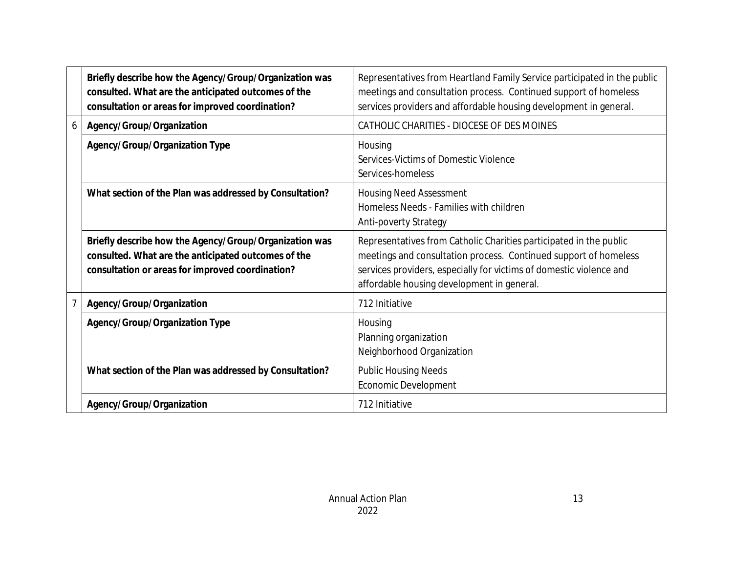|   | Briefly describe how the Agency/Group/Organization was<br>consulted. What are the anticipated outcomes of the<br>consultation or areas for improved coordination? | Representatives from Heartland Family Service participated in the public<br>meetings and consultation process. Continued support of homeless<br>services providers and affordable housing development in general.                                           |
|---|-------------------------------------------------------------------------------------------------------------------------------------------------------------------|-------------------------------------------------------------------------------------------------------------------------------------------------------------------------------------------------------------------------------------------------------------|
| 6 | Agency/Group/Organization                                                                                                                                         | CATHOLIC CHARITIES - DIOCESE OF DES MOINES                                                                                                                                                                                                                  |
|   | Agency/Group/Organization Type                                                                                                                                    | Housing<br>Services-Victims of Domestic Violence<br>Services-homeless                                                                                                                                                                                       |
|   | What section of the Plan was addressed by Consultation?                                                                                                           | <b>Housing Need Assessment</b><br>Homeless Needs - Families with children<br>Anti-poverty Strategy                                                                                                                                                          |
|   | Briefly describe how the Agency/Group/Organization was<br>consulted. What are the anticipated outcomes of the<br>consultation or areas for improved coordination? | Representatives from Catholic Charities participated in the public<br>meetings and consultation process. Continued support of homeless<br>services providers, especially for victims of domestic violence and<br>affordable housing development in general. |
|   | Agency/Group/Organization                                                                                                                                         | 712 Initiative                                                                                                                                                                                                                                              |
|   | Agency/Group/Organization Type                                                                                                                                    | Housing<br>Planning organization<br>Neighborhood Organization                                                                                                                                                                                               |
|   | What section of the Plan was addressed by Consultation?                                                                                                           | <b>Public Housing Needs</b><br>Economic Development                                                                                                                                                                                                         |
|   | Agency/Group/Organization                                                                                                                                         | 712 Initiative                                                                                                                                                                                                                                              |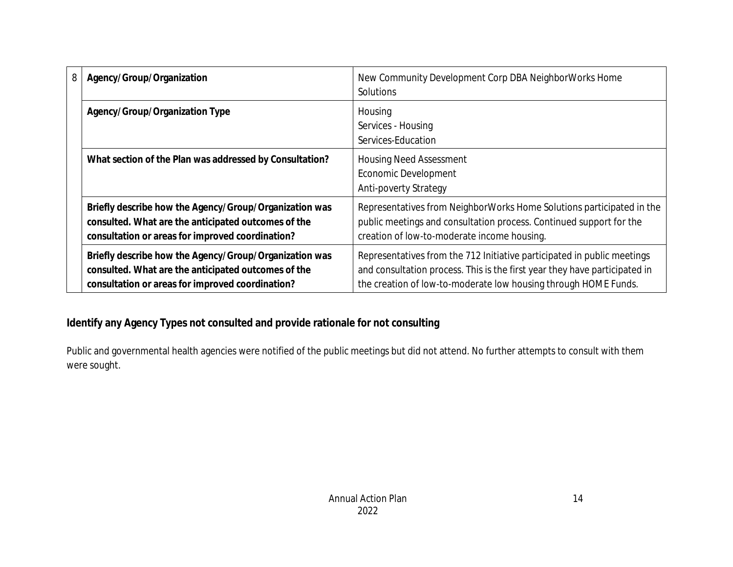| 8 | Agency/Group/Organization                                                                                                                                         | New Community Development Corp DBA NeighborWorks Home<br>Solutions                                                                                                                                                       |
|---|-------------------------------------------------------------------------------------------------------------------------------------------------------------------|--------------------------------------------------------------------------------------------------------------------------------------------------------------------------------------------------------------------------|
|   | Agency/Group/Organization Type                                                                                                                                    | Housing<br>Services - Housing<br>Services-Education                                                                                                                                                                      |
|   | What section of the Plan was addressed by Consultation?                                                                                                           | <b>Housing Need Assessment</b><br>Economic Development<br>Anti-poverty Strategy                                                                                                                                          |
|   | Briefly describe how the Agency/Group/Organization was<br>consulted. What are the anticipated outcomes of the<br>consultation or areas for improved coordination? | Representatives from NeighborWorks Home Solutions participated in the<br>public meetings and consultation process. Continued support for the<br>creation of low-to-moderate income housing.                              |
|   | Briefly describe how the Agency/Group/Organization was<br>consulted. What are the anticipated outcomes of the<br>consultation or areas for improved coordination? | Representatives from the 712 Initiative participated in public meetings<br>and consultation process. This is the first year they have participated in<br>the creation of low-to-moderate low housing through HOME Funds. |

## **Identify any Agency Types not consulted and provide rationale for not consulting**

Public and governmental health agencies were notified of the public meetings but did not attend. No further attempts to consult with them were sought.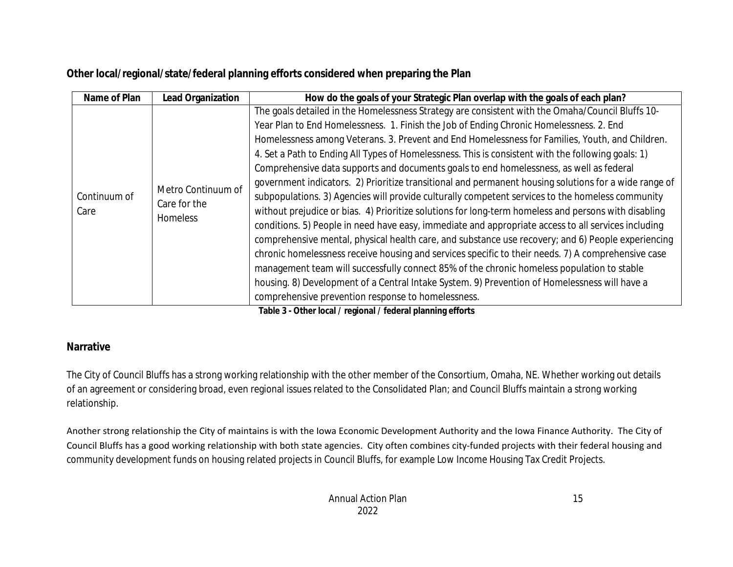### **Other local/regional/state/federal planning efforts considered when preparing the Plan**

| Name of Plan         | <b>Lead Organization</b>                              | How do the goals of your Strategic Plan overlap with the goals of each plan?                                                                                                                                                                                                                                                                                                                                                                                                                                                                                                                                                                                                                                                                                                                                                                                                                                                                                                                                                                                                                                                                                                                                                                                                                                                                                                                 |
|----------------------|-------------------------------------------------------|----------------------------------------------------------------------------------------------------------------------------------------------------------------------------------------------------------------------------------------------------------------------------------------------------------------------------------------------------------------------------------------------------------------------------------------------------------------------------------------------------------------------------------------------------------------------------------------------------------------------------------------------------------------------------------------------------------------------------------------------------------------------------------------------------------------------------------------------------------------------------------------------------------------------------------------------------------------------------------------------------------------------------------------------------------------------------------------------------------------------------------------------------------------------------------------------------------------------------------------------------------------------------------------------------------------------------------------------------------------------------------------------|
| Continuum of<br>Care | Metro Continuum of<br>Care for the<br><b>Homeless</b> | The goals detailed in the Homelessness Strategy are consistent with the Omaha/Council Bluffs 10-<br>Year Plan to End Homelessness. 1. Finish the Job of Ending Chronic Homelessness. 2. End<br>Homelessness among Veterans. 3. Prevent and End Homelessness for Families, Youth, and Children.<br>4. Set a Path to Ending All Types of Homelessness. This is consistent with the following goals: 1)<br>Comprehensive data supports and documents goals to end homelessness, as well as federal<br>government indicators. 2) Prioritize transitional and permanent housing solutions for a wide range of<br>subpopulations. 3) Agencies will provide culturally competent services to the homeless community<br>without prejudice or bias. 4) Prioritize solutions for long-term homeless and persons with disabling<br>conditions. 5) People in need have easy, immediate and appropriate access to all services including<br>comprehensive mental, physical health care, and substance use recovery; and 6) People experiencing<br>chronic homelessness receive housing and services specific to their needs. 7) A comprehensive case<br>management team will successfully connect 85% of the chronic homeless population to stable<br>housing. 8) Development of a Central Intake System. 9) Prevention of Homelessness will have a<br>comprehensive prevention response to homelessness. |

**Table 3 - Other local / regional / federal planning efforts**

#### **Narrative**

The City of Council Bluffs has a strong working relationship with the other member of the Consortium, Omaha, NE. Whether working out details of an agreement or considering broad, even regional issues related to the Consolidated Plan; and Council Bluffs maintain a strong working relationship.

Another strong relationship the City of maintains is with the Iowa Economic Development Authority and the Iowa Finance Authority. The City of Council Bluffs has a good working relationship with both state agencies. City often combines city-funded projects with their federal housing and community development funds on housing related projects in Council Bluffs, for example Low Income Housing Tax Credit Projects.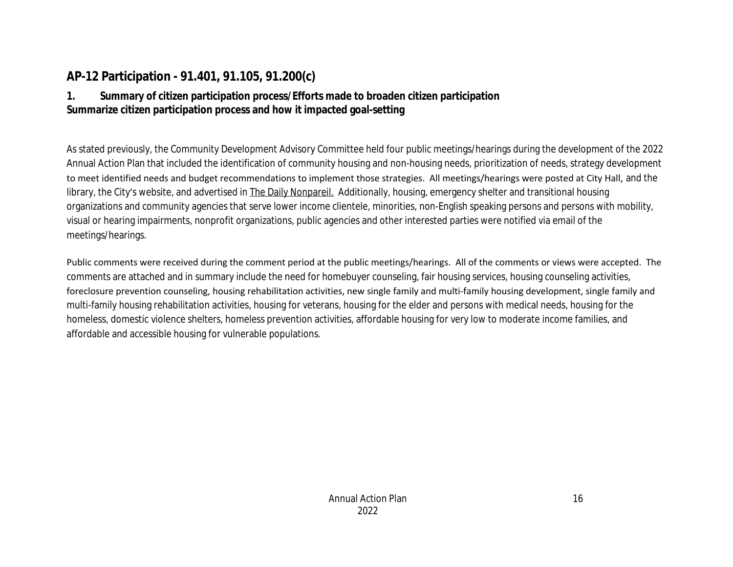# **AP-12 Participation - 91.401, 91.105, 91.200(c)**

### **1. Summary of citizen participation process/Efforts made to broaden citizen participation Summarize citizen participation process and how it impacted goal-setting**

As stated previously, the Community Development Advisory Committee held four public meetings/hearings during the development of the 2022 Annual Action Plan that included the identification of community housing and non-housing needs, prioritization of needs, strategy development to meet identified needs and budget recommendations to implement those strategies. All meetings/hearings were posted at City Hall, and the library, the City's website, and advertised in The Daily Nonpareil. Additionally, housing, emergency shelter and transitional housing organizations and community agencies that serve lower income clientele, minorities, non-English speaking persons and persons with mobility, visual or hearing impairments, nonprofit organizations, public agencies and other interested parties were notified via email of the meetings/hearings.

Public comments were received during the comment period at the public meetings/hearings. All of the comments or views were accepted. The comments are attached and in summary include the need for homebuyer counseling, fair housing services, housing counseling activities, foreclosure prevention counseling, housing rehabilitation activities, new single family and multi-family housing development, single family and multi-family housing rehabilitation activities, housing for veterans, housing for the elder and persons with medical needs, housing for the homeless, domestic violence shelters, homeless prevention activities, affordable housing for very low to moderate income families, and affordable and accessible housing for vulnerable populations.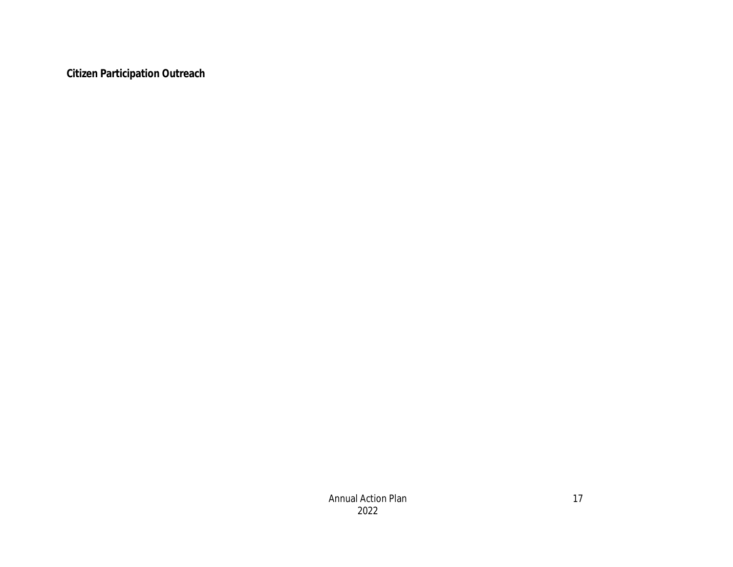**Citizen Participation Outreach**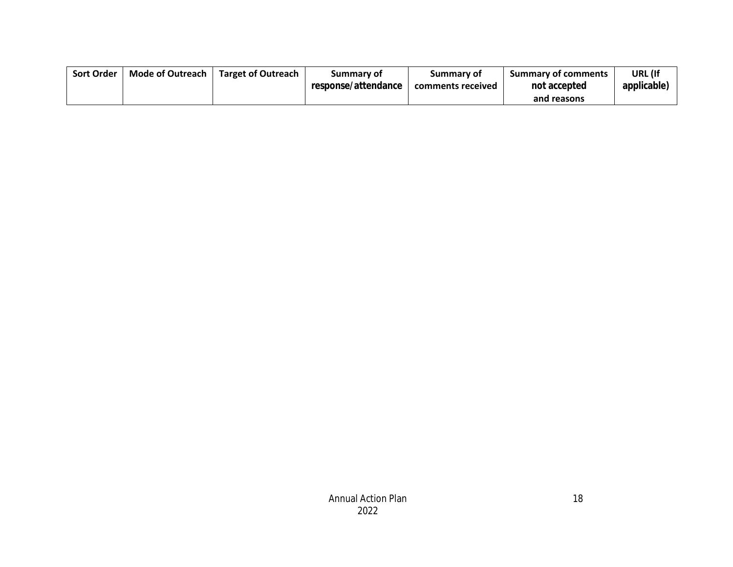| <b>Sort Order</b> | Mode of Outreach | <b>Target of Outreach</b> | Summary of          | Summary of        | <b>Summary of comments</b> | URL (If     |
|-------------------|------------------|---------------------------|---------------------|-------------------|----------------------------|-------------|
|                   |                  |                           | response/attendance | comments received | not accepted               | applicable) |
|                   |                  |                           |                     |                   | and reasons                |             |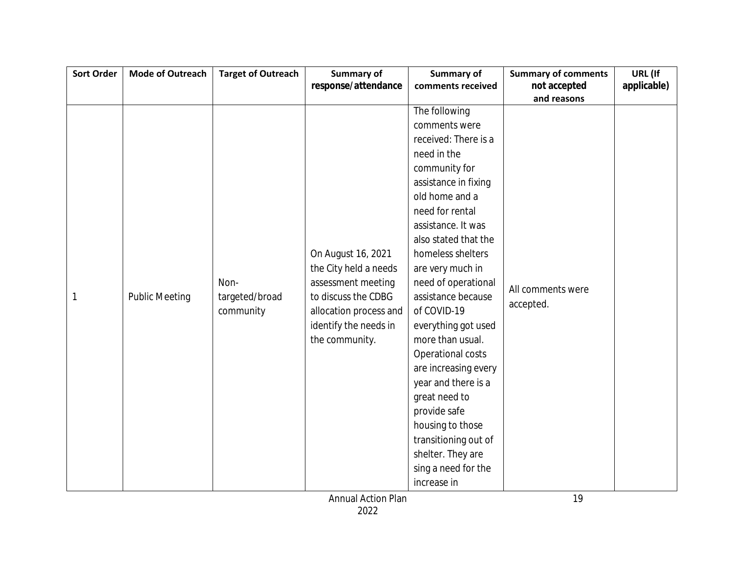| <b>Mode of Outreach</b> | <b>Target of Outreach</b> | <b>Summary of</b>      | <b>Summary of</b>    | <b>Summary of comments</b>                                                                                                                                                   | URL (If                                       |
|-------------------------|---------------------------|------------------------|----------------------|------------------------------------------------------------------------------------------------------------------------------------------------------------------------------|-----------------------------------------------|
|                         |                           |                        | comments received    | not accepted                                                                                                                                                                 | applicable)                                   |
|                         |                           |                        |                      |                                                                                                                                                                              |                                               |
|                         |                           |                        |                      |                                                                                                                                                                              |                                               |
|                         |                           |                        |                      |                                                                                                                                                                              |                                               |
|                         |                           |                        |                      |                                                                                                                                                                              |                                               |
|                         |                           |                        |                      |                                                                                                                                                                              |                                               |
|                         |                           |                        |                      |                                                                                                                                                                              |                                               |
|                         |                           |                        |                      |                                                                                                                                                                              |                                               |
|                         |                           |                        |                      |                                                                                                                                                                              |                                               |
|                         |                           |                        | need for rental      |                                                                                                                                                                              |                                               |
|                         |                           |                        | assistance. It was   |                                                                                                                                                                              |                                               |
|                         |                           |                        | also stated that the |                                                                                                                                                                              |                                               |
|                         |                           | On August 16, 2021     | homeless shelters    |                                                                                                                                                                              |                                               |
|                         |                           | the City held a needs  | are very much in     |                                                                                                                                                                              |                                               |
|                         | Non-                      | assessment meeting     | need of operational  |                                                                                                                                                                              |                                               |
| <b>Public Meeting</b>   | targeted/broad            | to discuss the CDBG    | assistance because   |                                                                                                                                                                              |                                               |
|                         | community                 | allocation process and | of COVID-19          |                                                                                                                                                                              |                                               |
|                         |                           | identify the needs in  | everything got used  |                                                                                                                                                                              |                                               |
|                         |                           | the community.         | more than usual.     |                                                                                                                                                                              |                                               |
|                         |                           |                        | Operational costs    |                                                                                                                                                                              |                                               |
|                         |                           |                        | are increasing every |                                                                                                                                                                              |                                               |
|                         |                           |                        | year and there is a  |                                                                                                                                                                              |                                               |
|                         |                           |                        | great need to        |                                                                                                                                                                              |                                               |
|                         |                           |                        | provide safe         |                                                                                                                                                                              |                                               |
|                         |                           |                        | housing to those     |                                                                                                                                                                              |                                               |
|                         |                           |                        | transitioning out of |                                                                                                                                                                              |                                               |
|                         |                           |                        |                      |                                                                                                                                                                              |                                               |
|                         |                           |                        |                      |                                                                                                                                                                              |                                               |
|                         |                           |                        | increase in          |                                                                                                                                                                              |                                               |
|                         |                           |                        | response/attendance  | The following<br>comments were<br>received: There is a<br>need in the<br>community for<br>assistance in fixing<br>old home and a<br>shelter. They are<br>sing a need for the | and reasons<br>All comments were<br>accepted. |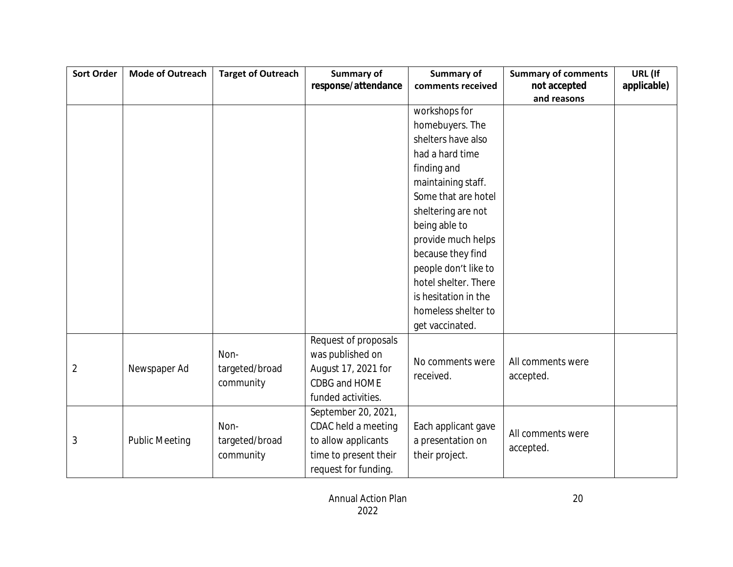| <b>Sort Order</b> | <b>Mode of Outreach</b> | <b>Target of Outreach</b>   | <b>Summary of</b>     | <b>Summary of</b>    | <b>Summary of comments</b> | URL (If     |
|-------------------|-------------------------|-----------------------------|-----------------------|----------------------|----------------------------|-------------|
|                   |                         |                             | response/attendance   | comments received    | not accepted               | applicable) |
|                   |                         |                             |                       |                      | and reasons                |             |
|                   |                         |                             |                       | workshops for        |                            |             |
|                   |                         |                             |                       | homebuyers. The      |                            |             |
|                   |                         |                             |                       | shelters have also   |                            |             |
|                   |                         |                             |                       | had a hard time      |                            |             |
|                   |                         |                             |                       | finding and          |                            |             |
|                   |                         |                             |                       | maintaining staff.   |                            |             |
|                   |                         |                             |                       | Some that are hotel  |                            |             |
|                   |                         |                             |                       | sheltering are not   |                            |             |
|                   |                         |                             |                       | being able to        |                            |             |
|                   |                         |                             |                       | provide much helps   |                            |             |
|                   |                         |                             |                       | because they find    |                            |             |
|                   |                         |                             |                       | people don't like to |                            |             |
|                   |                         |                             |                       | hotel shelter. There |                            |             |
|                   |                         |                             |                       | is hesitation in the |                            |             |
|                   |                         |                             |                       | homeless shelter to  |                            |             |
|                   |                         |                             |                       | get vaccinated.      |                            |             |
|                   |                         |                             | Request of proposals  |                      |                            |             |
|                   |                         | Non-                        | was published on      | No comments were     | All comments were          |             |
| $\overline{2}$    | Newspaper Ad            | targeted/broad              | August 17, 2021 for   | received.            |                            |             |
|                   |                         | community                   | CDBG and HOME         |                      | accepted.                  |             |
|                   |                         |                             | funded activities.    |                      |                            |             |
|                   |                         |                             | September 20, 2021,   |                      |                            |             |
|                   |                         | Non-                        | CDAC held a meeting   | Each applicant gave  | All comments were          |             |
| 3                 | <b>Public Meeting</b>   | targeted/broad<br>community | to allow applicants   | a presentation on    |                            |             |
|                   |                         |                             | time to present their | their project.       | accepted.                  |             |
|                   |                         |                             | request for funding.  |                      |                            |             |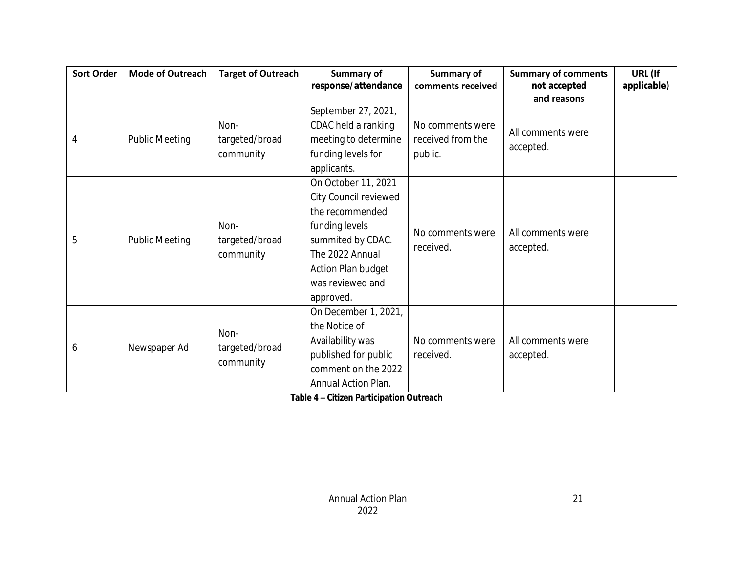| <b>Sort Order</b> | <b>Mode of Outreach</b> | <b>Target of Outreach</b>           | Summary of<br>response/attendance | Summary of<br>comments received | <b>Summary of comments</b><br>not accepted | URL (If<br>applicable) |
|-------------------|-------------------------|-------------------------------------|-----------------------------------|---------------------------------|--------------------------------------------|------------------------|
|                   |                         |                                     |                                   |                                 | and reasons                                |                        |
|                   |                         |                                     | September 27, 2021,               |                                 |                                            |                        |
|                   |                         | Non-                                | CDAC held a ranking               | No comments were                | All comments were                          |                        |
| 4                 | <b>Public Meeting</b>   | targeted/broad                      | meeting to determine              | received from the               | accepted.                                  |                        |
|                   |                         | community                           | funding levels for                | public.                         |                                            |                        |
|                   |                         |                                     | applicants.                       |                                 |                                            |                        |
|                   |                         |                                     | On October 11, 2021               |                                 |                                            |                        |
|                   |                         |                                     | City Council reviewed             |                                 |                                            |                        |
|                   | <b>Public Meeting</b>   |                                     | the recommended                   |                                 | All comments were<br>accepted.             |                        |
|                   |                         | Non-<br>targeted/broad<br>community | funding levels                    | No comments were<br>received.   |                                            |                        |
| 5                 |                         |                                     | summited by CDAC.                 |                                 |                                            |                        |
|                   |                         |                                     | The 2022 Annual                   |                                 |                                            |                        |
|                   |                         |                                     | Action Plan budget                |                                 |                                            |                        |
|                   |                         |                                     | was reviewed and                  |                                 |                                            |                        |
|                   |                         |                                     | approved.                         |                                 |                                            |                        |
|                   |                         |                                     | On December 1, 2021,              |                                 |                                            |                        |
|                   |                         |                                     | the Notice of                     |                                 |                                            |                        |
|                   |                         | Non-                                | Availability was                  | No comments were                | All comments were                          |                        |
| 6                 | Newspaper Ad            | targeted/broad                      | published for public              | received.                       | accepted.                                  |                        |
|                   |                         | community                           | comment on the 2022               |                                 |                                            |                        |
|                   |                         |                                     | Annual Action Plan.               |                                 |                                            |                        |

**Table 4 – Citizen Participation Outreach**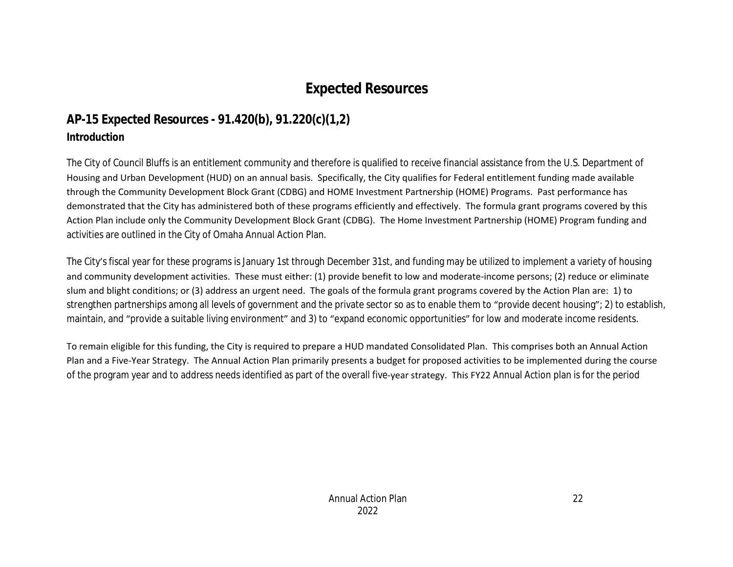# **Expected Resources**

### **AP-15 Expected Resources - 91.420(b), 91.220(c)(1,2) Introduction**

The City of Council Bluffs is an entitlement community and therefore is qualified to receive financial assistance from the U.S. Department of Housing and Urban Development (HUD) on an annual basis. Specifically, the City qualifies for Federal entitlement funding made available through the Community Development Block Grant (CDBG) and HOME Investment Partnership (HOME) Programs. Past performance has demonstrated that the City has administered both of these programs efficiently and effectively. The formula grant programs covered by this Action Plan include only the Community Development Block Grant (CDBG). The Home Investment Partnership (HOME) Program funding and activities are outlined in the City of Omaha Annual Action Plan.

The City's fiscal year for these programs is January 1st through December 31st, and funding may be utilized to implement a variety of housing and community development activities. These must either: (1) provide benefit to low and moderate-income persons; (2) reduce or eliminate slum and blight conditions; or (3) address an urgent need. The goals of the formula grant programs covered by the Action Plan are: 1) to strengthen partnerships among all levels of government and the private sector so as to enable them to "provide decent housing"; 2) to establish, maintain, and "provide a suitable living environment" and 3) to "expand economic opportunities" for low and moderate income residents.

To remain eligible for this funding, the City is required to prepare a HUD mandated Consolidated Plan. This comprises both an Annual Action Plan and a Five-Year Strategy. The Annual Action Plan primarily presents a budget for proposed activities to be implemented during the course of the program year and to address needs identified as part of the overall five-year strategy. This FY22 Annual Action plan is for the period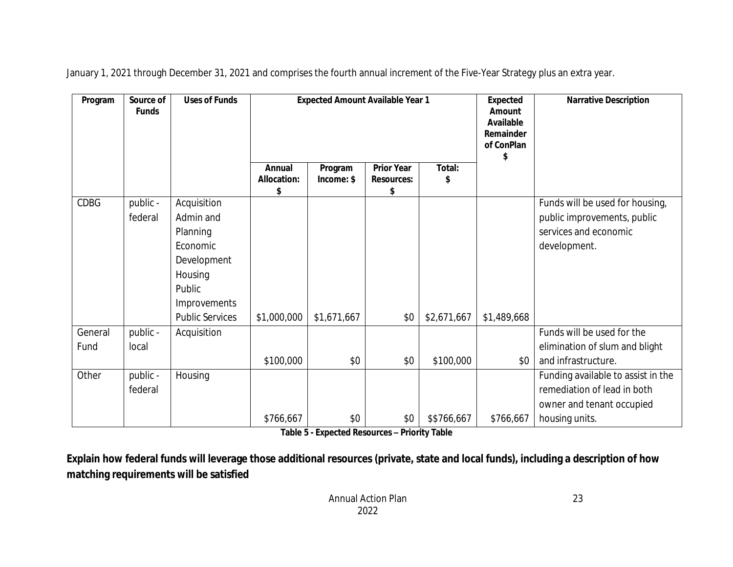| Program | Source of<br><b>Funds</b> | <b>Uses of Funds</b>                                                                                                           | <b>Expected Amount Available Year 1</b> |                       |                                              | <b>Expected</b><br>Amount<br>Available<br>Remainder<br>of ConPlan | <b>Narrative Description</b> |                                                                                                                  |
|---------|---------------------------|--------------------------------------------------------------------------------------------------------------------------------|-----------------------------------------|-----------------------|----------------------------------------------|-------------------------------------------------------------------|------------------------------|------------------------------------------------------------------------------------------------------------------|
|         |                           |                                                                                                                                | Annual<br><b>Allocation:</b><br>\$      | Program<br>Income: \$ | <b>Prior Year</b><br><b>Resources:</b><br>\$ | Total:<br>S                                                       |                              |                                                                                                                  |
| CDBG    | public -<br>federal       | Acquisition<br>Admin and<br>Planning<br>Economic<br>Development<br>Housing<br>Public<br>Improvements<br><b>Public Services</b> | \$1,000,000                             | \$1,671,667           | \$0                                          | \$2,671,667                                                       | \$1,489,668                  | Funds will be used for housing,<br>public improvements, public<br>services and economic<br>development.          |
| General | public -                  | Acquisition                                                                                                                    |                                         |                       |                                              |                                                                   |                              | Funds will be used for the                                                                                       |
| Fund    | local                     |                                                                                                                                | \$100,000                               | \$0                   | \$0                                          | \$100,000                                                         | \$0                          | elimination of slum and blight<br>and infrastructure.                                                            |
| Other   | public -<br>federal       | Housing                                                                                                                        | \$766,667                               | \$0                   | \$0                                          | \$\$766,667                                                       | \$766,667                    | Funding available to assist in the<br>remediation of lead in both<br>owner and tenant occupied<br>housing units. |

January 1, 2021 through December 31, 2021 and comprises the fourth annual increment of the Five-Year Strategy plus an extra year.

**Table 5 - Expected Resources – Priority Table**

**Explain how federal funds will leverage those additional resources (private, state and local funds), including a description of how matching requirements will be satisfied**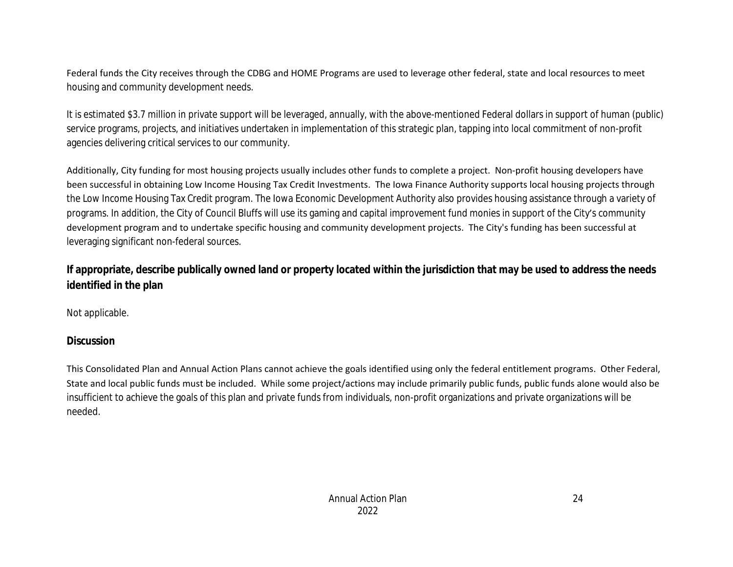Federal funds the City receives through the CDBG and HOME Programs are used to leverage other federal, state and local resources to meet housing and community development needs.

It is estimated \$3.7 million in private support will be leveraged, annually, with the above-mentioned Federal dollars in support of human (public) service programs, projects, and initiatives undertaken in implementation of this strategic plan, tapping into local commitment of non-profit agencies delivering critical services to our community.

Additionally, City funding for most housing projects usually includes other funds to complete a project. Non-profit housing developers have been successful in obtaining Low Income Housing Tax Credit Investments. The Iowa Finance Authority supports local housing projects through the Low Income Housing Tax Credit program. The Iowa Economic Development Authority also provides housing assistance through a variety of programs. In addition, the City of Council Bluffs will use its gaming and capital improvement fund monies in support of the City's community development program and to undertake specific housing and community development projects. The City's funding has been successful at leveraging significant non-federal sources.

### **If appropriate, describe publically owned land or property located within the jurisdiction that may be used to address the needs identified in the plan**

Not applicable.

### **Discussion**

This Consolidated Plan and Annual Action Plans cannot achieve the goals identified using only the federal entitlement programs. Other Federal, State and local public funds must be included. While some project/actions may include primarily public funds, public funds alone would also be insufficient to achieve the goals of this plan and private funds from individuals, non-profit organizations and private organizations will be needed.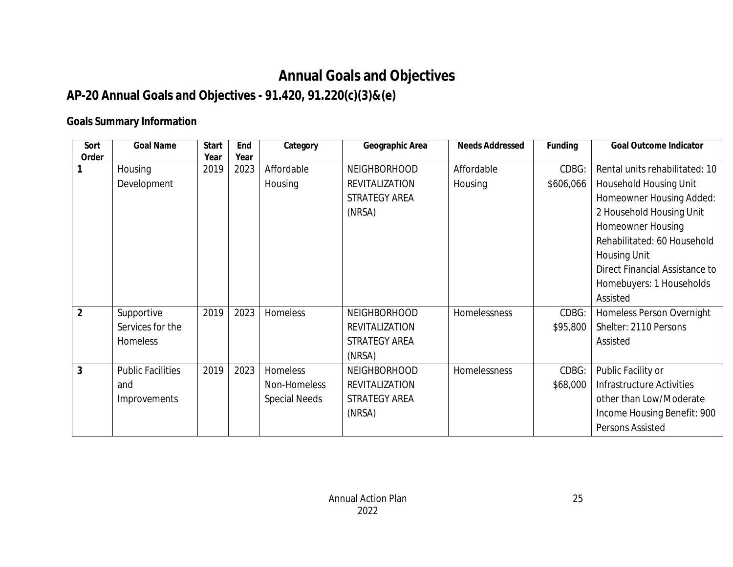# **Annual Goals and Objectives**

# **AP-20 Annual Goals and Objectives - 91.420, 91.220(c)(3)&(e)**

## **Goals Summary Information**

| Sort           | <b>Goal Name</b>         | <b>Start</b> | End  | Category             | Geographic Area       | <b>Needs Addressed</b> | <b>Funding</b> | <b>Goal Outcome Indicator</b>  |
|----------------|--------------------------|--------------|------|----------------------|-----------------------|------------------------|----------------|--------------------------------|
| Order          |                          | Year         | Year |                      |                       |                        |                |                                |
|                | Housing                  | 2019         | 2023 | Affordable           | <b>NEIGHBORHOOD</b>   | Affordable             | CDBG:          | Rental units rehabilitated: 10 |
|                | Development              |              |      | Housing              | REVITALIZATION        | Housing                | \$606,066      | Household Housing Unit         |
|                |                          |              |      |                      | <b>STRATEGY AREA</b>  |                        |                | Homeowner Housing Added:       |
|                |                          |              |      |                      | (NRSA)                |                        |                | 2 Household Housing Unit       |
|                |                          |              |      |                      |                       |                        |                | <b>Homeowner Housing</b>       |
|                |                          |              |      |                      |                       |                        |                | Rehabilitated: 60 Household    |
|                |                          |              |      |                      |                       |                        |                | Housing Unit                   |
|                |                          |              |      |                      |                       |                        |                | Direct Financial Assistance to |
|                |                          |              |      |                      |                       |                        |                | Homebuyers: 1 Households       |
|                |                          |              |      |                      |                       |                        |                | Assisted                       |
| $\overline{2}$ | Supportive               | 2019         | 2023 | <b>Homeless</b>      | <b>NEIGHBORHOOD</b>   | Homelessness           | CDBG:          | Homeless Person Overnight      |
|                | Services for the         |              |      |                      | <b>REVITALIZATION</b> |                        | \$95,800       | Shelter: 2110 Persons          |
|                | <b>Homeless</b>          |              |      |                      | <b>STRATEGY AREA</b>  |                        |                | Assisted                       |
|                |                          |              |      |                      | (NRSA)                |                        |                |                                |
| $\overline{3}$ | <b>Public Facilities</b> | 2019         | 2023 | <b>Homeless</b>      | <b>NEIGHBORHOOD</b>   | <b>Homelessness</b>    | CDBG:          | Public Facility or             |
|                | and                      |              |      | Non-Homeless         | <b>REVITALIZATION</b> |                        | \$68,000       | Infrastructure Activities      |
|                | Improvements             |              |      | <b>Special Needs</b> | STRATEGY AREA         |                        |                | other than Low/Moderate        |
|                |                          |              |      |                      | (NRSA)                |                        |                | Income Housing Benefit: 900    |
|                |                          |              |      |                      |                       |                        |                | Persons Assisted               |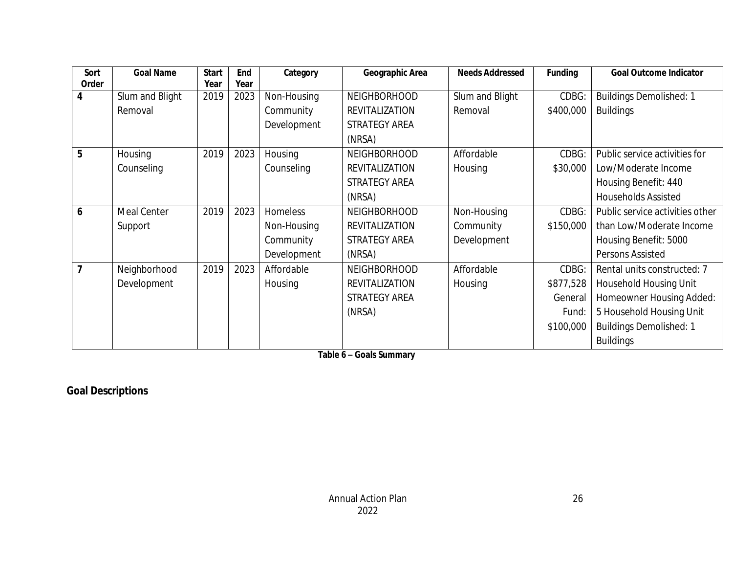| Sort  | <b>Goal Name</b>   | <b>Start</b> | End  | Category        | Geographic Area      | <b>Needs Addressed</b> | <b>Funding</b> | <b>Goal Outcome Indicator</b>   |
|-------|--------------------|--------------|------|-----------------|----------------------|------------------------|----------------|---------------------------------|
| Order |                    | Year         | Year |                 |                      |                        |                |                                 |
| 4     | Slum and Blight    | 2019         | 2023 | Non-Housing     | <b>NEIGHBORHOOD</b>  | Slum and Blight        | CDBG:          | <b>Buildings Demolished: 1</b>  |
|       | Removal            |              |      | Community       | REVITALIZATION       | Removal                | \$400,000      | <b>Buildings</b>                |
|       |                    |              |      | Development     | <b>STRATEGY AREA</b> |                        |                |                                 |
|       |                    |              |      |                 | (NRSA)               |                        |                |                                 |
| 5     | Housing            | 2019         | 2023 | Housing         | <b>NEIGHBORHOOD</b>  | Affordable             | CDBG:          | Public service activities for   |
|       | Counseling         |              |      | Counseling      | REVITALIZATION       | Housing                | \$30,000       | Low/Moderate Income             |
|       |                    |              |      |                 | STRATEGY AREA        |                        |                | Housing Benefit: 440            |
|       |                    |              |      |                 | (NRSA)               |                        |                | <b>Households Assisted</b>      |
| 6     | <b>Meal Center</b> | 2019         | 2023 | <b>Homeless</b> | NEIGHBORHOOD         | Non-Housing            | CDBG:          | Public service activities other |
|       | Support            |              |      | Non-Housing     | REVITALIZATION       | Community              | \$150,000      | than Low/Moderate Income        |
|       |                    |              |      | Community       | STRATEGY AREA        | Development            |                | Housing Benefit: 5000           |
|       |                    |              |      | Development     | (NRSA)               |                        |                | Persons Assisted                |
| 7     | Neighborhood       | 2019         | 2023 | Affordable      | <b>NEIGHBORHOOD</b>  | Affordable             | CDBG:          | Rental units constructed: 7     |
|       | Development        |              |      | Housing         | REVITALIZATION       | Housing                | \$877,528      | Household Housing Unit          |
|       |                    |              |      |                 | <b>STRATEGY AREA</b> |                        | General        | Homeowner Housing Added:        |
|       |                    |              |      |                 | (NRSA)               |                        | Fund:          | 5 Household Housing Unit        |
|       |                    |              |      |                 |                      |                        | \$100,000      | <b>Buildings Demolished: 1</b>  |
|       |                    |              |      |                 |                      |                        |                | <b>Buildings</b>                |

**Table 6 – Goals Summary**

**Goal Descriptions**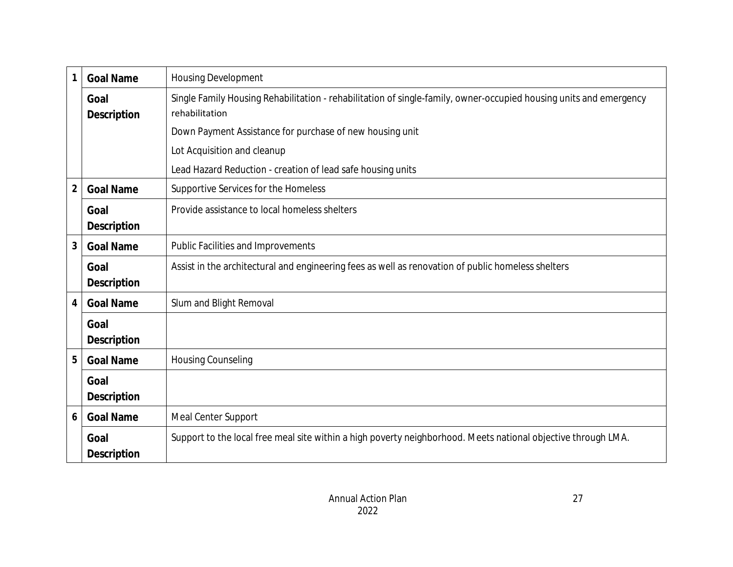| 1              | <b>Goal Name</b>           | <b>Housing Development</b>                                                                                                           |  |
|----------------|----------------------------|--------------------------------------------------------------------------------------------------------------------------------------|--|
|                | Goal<br><b>Description</b> | Single Family Housing Rehabilitation - rehabilitation of single-family, owner-occupied housing units and emergency<br>rehabilitation |  |
|                |                            | Down Payment Assistance for purchase of new housing unit                                                                             |  |
|                |                            | Lot Acquisition and cleanup                                                                                                          |  |
|                |                            | Lead Hazard Reduction - creation of lead safe housing units                                                                          |  |
| $\overline{2}$ | <b>Goal Name</b>           | Supportive Services for the Homeless                                                                                                 |  |
|                | Goal<br><b>Description</b> | Provide assistance to local homeless shelters                                                                                        |  |
| $\overline{3}$ | <b>Goal Name</b>           | Public Facilities and Improvements                                                                                                   |  |
|                | Goal                       | Assist in the architectural and engineering fees as well as renovation of public homeless shelters                                   |  |
|                | <b>Description</b>         |                                                                                                                                      |  |
| 4              | <b>Goal Name</b>           | Slum and Blight Removal                                                                                                              |  |
|                | Goal<br><b>Description</b> |                                                                                                                                      |  |
| 5              | <b>Goal Name</b>           | <b>Housing Counseling</b>                                                                                                            |  |
|                | Goal<br><b>Description</b> |                                                                                                                                      |  |
| 6              | <b>Goal Name</b>           | Meal Center Support                                                                                                                  |  |
|                | Goal<br><b>Description</b> | Support to the local free meal site within a high poverty neighborhood. Meets national objective through LMA.                        |  |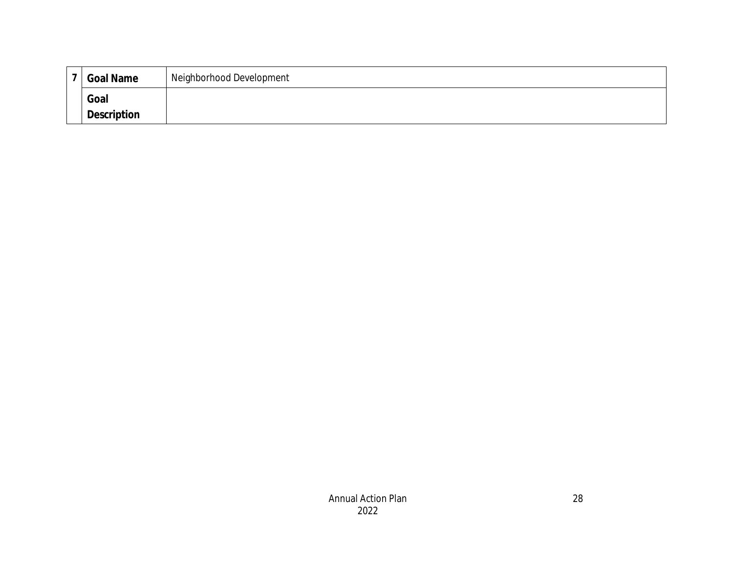| <b>Goal Name</b>           | Neighborhood Development |
|----------------------------|--------------------------|
| Goal<br><b>Description</b> |                          |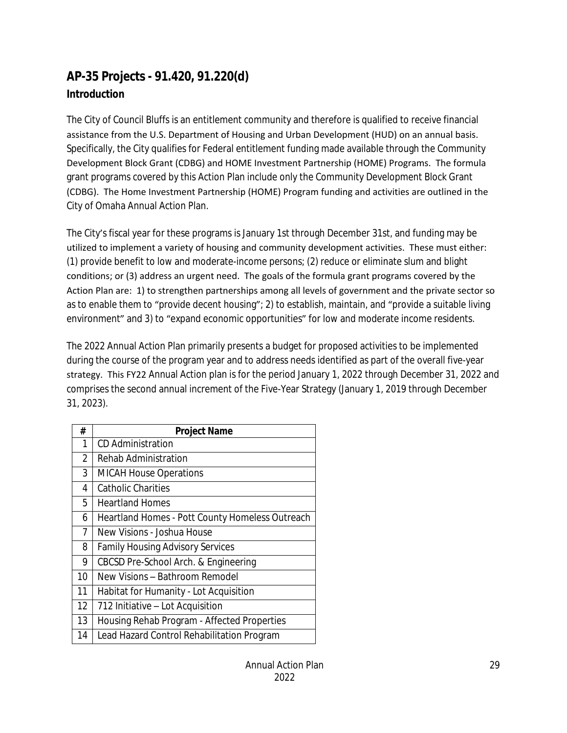# **AP-35 Projects - 91.420, 91.220(d) Introduction**

The City of Council Bluffs is an entitlement community and therefore is qualified to receive financial assistance from the U.S. Department of Housing and Urban Development (HUD) on an annual basis. Specifically, the City qualifies for Federal entitlement funding made available through the Community Development Block Grant (CDBG) and HOME Investment Partnership (HOME) Programs. The formula grant programs covered by this Action Plan include only the Community Development Block Grant (CDBG). The Home Investment Partnership (HOME) Program funding and activities are outlined in the City of Omaha Annual Action Plan.

The City's fiscal year for these programs is January 1st through December 31st, and funding may be utilized to implement a variety of housing and community development activities. These must either: (1) provide benefit to low and moderate-income persons; (2) reduce or eliminate slum and blight conditions; or (3) address an urgent need. The goals of the formula grant programs covered by the Action Plan are: 1) to strengthen partnerships among all levels of government and the private sector so as to enable them to "provide decent housing"; 2) to establish, maintain, and "provide a suitable living environment" and 3) to "expand economic opportunities" for low and moderate income residents.

The 2022 Annual Action Plan primarily presents a budget for proposed activities to be implemented during the course of the program year and to address needs identified as part of the overall five-year strategy. This FY22 Annual Action plan is for the period January 1, 2022 through December 31, 2022 and comprises the second annual increment of the Five-Year Strategy (January 1, 2019 through December 31, 2023).

| #               | <b>Project Name</b>                             |
|-----------------|-------------------------------------------------|
| 1               | CD Administration                               |
| 2               | Rehab Administration                            |
| 3               | <b>MICAH House Operations</b>                   |
| 4               | <b>Catholic Charities</b>                       |
| 5               | <b>Heartland Homes</b>                          |
| 6               | Heartland Homes - Pott County Homeless Outreach |
| 7               | New Visions - Joshua House                      |
| 8               | <b>Family Housing Advisory Services</b>         |
| 9               | CBCSD Pre-School Arch. & Engineering            |
| 10 <sup>°</sup> | New Visions – Bathroom Remodel                  |
| 11              | Habitat for Humanity - Lot Acquisition          |
| 12              | 712 Initiative - Lot Acquisition                |
| 13              | Housing Rehab Program - Affected Properties     |
| 14              | Lead Hazard Control Rehabilitation Program      |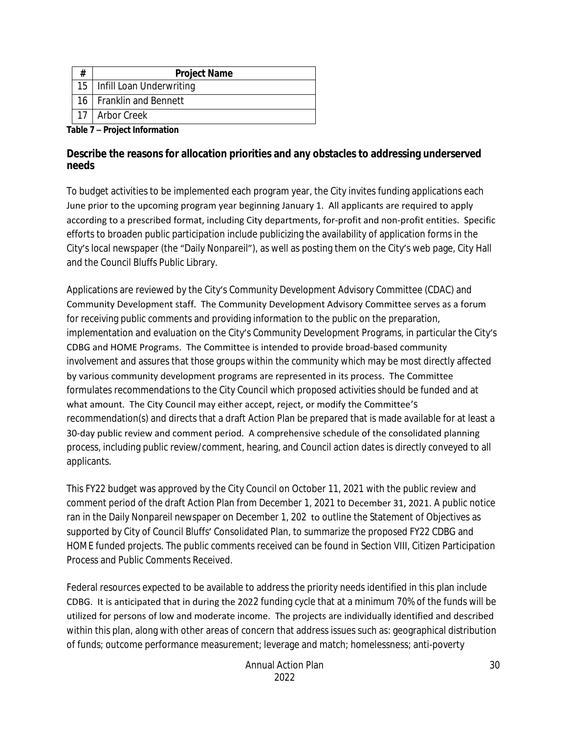|    | <b>Project Name</b>           |  |
|----|-------------------------------|--|
|    | 15   Infill Loan Underwriting |  |
|    | 16   Franklin and Bennett     |  |
| 17 | Arbor Creek                   |  |

#### **Table 7 – Project Information**

#### **Describe the reasons for allocation priorities and any obstacles to addressing underserved needs**

To budget activities to be implemented each program year, the City invites funding applications each June prior to the upcoming program year beginning January 1. All applicants are required to apply according to a prescribed format, including City departments, for-profit and non-profit entities. Specific efforts to broaden public participation include publicizing the availability of application forms in the City's local newspaper (the "Daily Nonpareil"), as well as posting them on the City's web page, City Hall and the Council Bluffs Public Library.

Applications are reviewed by the City's Community Development Advisory Committee (CDAC) and Community Development staff. The Community Development Advisory Committee serves as a forum for receiving public comments and providing information to the public on the preparation, implementation and evaluation on the City's Community Development Programs, in particular the City's CDBG and HOME Programs. The Committee is intended to provide broad-based community involvement and assures that those groups within the community which may be most directly affected by various community development programs are represented in its process. The Committee formulates recommendations to the City Council which proposed activities should be funded and at what amount. The City Council may either accept, reject, or modify the Committee's recommendation(s) and directs that a draft Action Plan be prepared that is made available for at least a 30-day public review and comment period. A comprehensive schedule of the consolidated planning process, including public review/comment, hearing, and Council action dates is directly conveyed to all applicants.

This FY22 budget was approved by the City Council on October 11, 2021 with the public review and comment period of the draft Action Plan from December 1, 2021 to December 31, 2021. A public notice ran in the Daily Nonpareil newspaper on December 1, 202 to outline the Statement of Objectives as supported by City of Council Bluffs' Consolidated Plan, to summarize the proposed FY22 CDBG and HOME funded projects. The public comments received can be found in Section VIII, Citizen Participation Process and Public Comments Received.

Federal resources expected to be available to address the priority needs identified in this plan include CDBG. It is anticipated that in during the 2022 funding cycle that at a minimum 70% of the funds will be utilized for persons of low and moderate income. The projects are individually identified and described within this plan, along with other areas of concern that address issues such as: geographical distribution of funds; outcome performance measurement; leverage and match; homelessness; anti-poverty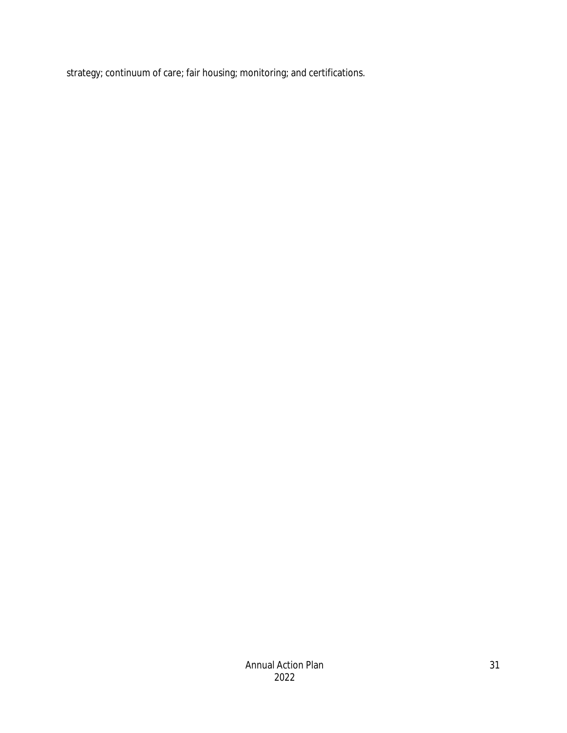strategy; continuum of care; fair housing; monitoring; and certifications.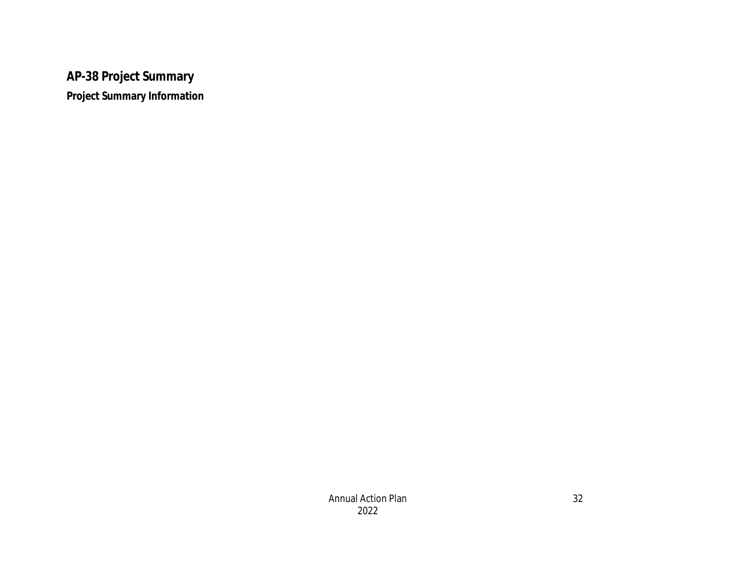# **AP-38 Project Summary**

**Project Summary Information**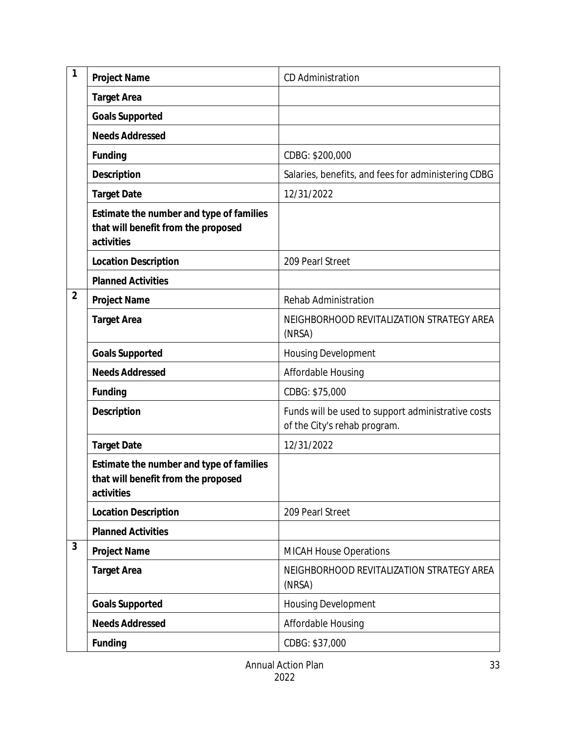| 1              | <b>Project Name</b>                                                                           | <b>CD Administration</b>                                                           |
|----------------|-----------------------------------------------------------------------------------------------|------------------------------------------------------------------------------------|
|                | <b>Target Area</b>                                                                            |                                                                                    |
|                | <b>Goals Supported</b>                                                                        |                                                                                    |
|                | <b>Needs Addressed</b>                                                                        |                                                                                    |
|                | <b>Funding</b>                                                                                | CDBG: \$200,000                                                                    |
|                | <b>Description</b>                                                                            | Salaries, benefits, and fees for administering CDBG                                |
|                | <b>Target Date</b>                                                                            | 12/31/2022                                                                         |
|                | Estimate the number and type of families<br>that will benefit from the proposed<br>activities |                                                                                    |
|                | <b>Location Description</b>                                                                   | 209 Pearl Street                                                                   |
|                | <b>Planned Activities</b>                                                                     |                                                                                    |
| $\overline{2}$ | <b>Project Name</b>                                                                           | <b>Rehab Administration</b>                                                        |
|                | <b>Target Area</b>                                                                            | NEIGHBORHOOD REVITALIZATION STRATEGY AREA<br>(NRSA)                                |
|                | <b>Goals Supported</b>                                                                        | <b>Housing Development</b>                                                         |
|                | <b>Needs Addressed</b>                                                                        | Affordable Housing                                                                 |
|                | <b>Funding</b>                                                                                | CDBG: \$75,000                                                                     |
|                | <b>Description</b>                                                                            | Funds will be used to support administrative costs<br>of the City's rehab program. |
|                | <b>Target Date</b>                                                                            | 12/31/2022                                                                         |
|                | Estimate the number and type of families<br>that will benefit from the proposed<br>activities |                                                                                    |
|                | <b>Location Description</b>                                                                   | 209 Pearl Street                                                                   |
|                | <b>Planned Activities</b>                                                                     |                                                                                    |
| 3              | <b>Project Name</b>                                                                           | <b>MICAH House Operations</b>                                                      |
|                | <b>Target Area</b>                                                                            | NEIGHBORHOOD REVITALIZATION STRATEGY AREA<br>(NRSA)                                |
|                | <b>Goals Supported</b>                                                                        | <b>Housing Development</b>                                                         |
|                | <b>Needs Addressed</b>                                                                        | Affordable Housing                                                                 |
|                | <b>Funding</b>                                                                                | CDBG: \$37,000                                                                     |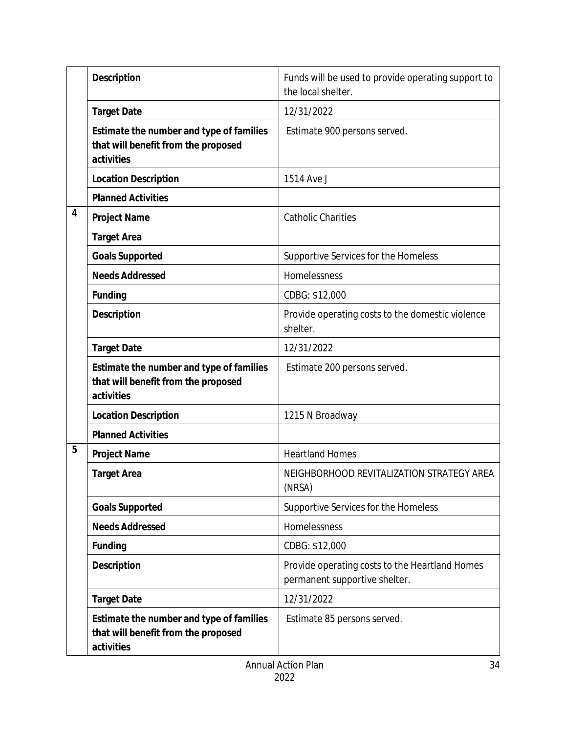|   | <b>Description</b>                                                                            | Funds will be used to provide operating support to<br>the local shelter.        |
|---|-----------------------------------------------------------------------------------------------|---------------------------------------------------------------------------------|
|   | <b>Target Date</b>                                                                            | 12/31/2022                                                                      |
|   | Estimate the number and type of families<br>that will benefit from the proposed<br>activities | Estimate 900 persons served.                                                    |
|   | <b>Location Description</b>                                                                   | 1514 Ave J                                                                      |
|   | <b>Planned Activities</b>                                                                     |                                                                                 |
| 4 | <b>Project Name</b>                                                                           | <b>Catholic Charities</b>                                                       |
|   | <b>Target Area</b>                                                                            |                                                                                 |
|   | <b>Goals Supported</b>                                                                        | Supportive Services for the Homeless                                            |
|   | <b>Needs Addressed</b>                                                                        | Homelessness                                                                    |
|   | <b>Funding</b>                                                                                | CDBG: \$12,000                                                                  |
|   | <b>Description</b>                                                                            | Provide operating costs to the domestic violence<br>shelter.                    |
|   | <b>Target Date</b>                                                                            | 12/31/2022                                                                      |
|   | Estimate the number and type of families<br>that will benefit from the proposed<br>activities | Estimate 200 persons served.                                                    |
|   | <b>Location Description</b>                                                                   | 1215 N Broadway                                                                 |
|   | <b>Planned Activities</b>                                                                     |                                                                                 |
| 5 | <b>Project Name</b>                                                                           | <b>Heartland Homes</b>                                                          |
|   | <b>Target Area</b>                                                                            | NEIGHBORHOOD REVITALIZATION STRATEGY AREA<br>(NRSA)                             |
|   | <b>Goals Supported</b>                                                                        | Supportive Services for the Homeless                                            |
|   | <b>Needs Addressed</b>                                                                        | Homelessness                                                                    |
|   | <b>Funding</b>                                                                                | CDBG: \$12,000                                                                  |
|   | <b>Description</b>                                                                            | Provide operating costs to the Heartland Homes<br>permanent supportive shelter. |
|   | <b>Target Date</b>                                                                            | 12/31/2022                                                                      |
|   | Estimate the number and type of families<br>that will benefit from the proposed<br>activities | Estimate 85 persons served.                                                     |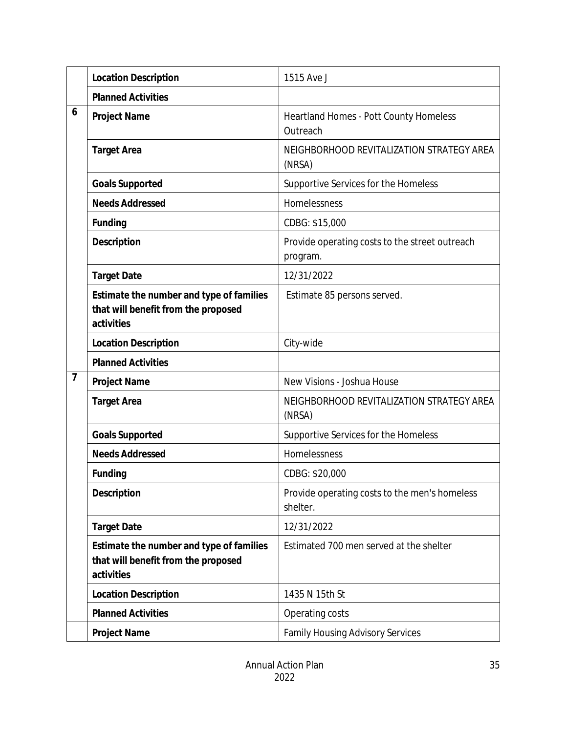|                | <b>Location Description</b>                                                                   | 1515 Ave J                                                 |
|----------------|-----------------------------------------------------------------------------------------------|------------------------------------------------------------|
|                | <b>Planned Activities</b>                                                                     |                                                            |
| 6              | <b>Project Name</b>                                                                           | Heartland Homes - Pott County Homeless<br>Outreach         |
|                | <b>Target Area</b>                                                                            | NEIGHBORHOOD REVITALIZATION STRATEGY AREA<br>(NRSA)        |
|                | <b>Goals Supported</b>                                                                        | Supportive Services for the Homeless                       |
|                | <b>Needs Addressed</b>                                                                        | Homelessness                                               |
|                | <b>Funding</b>                                                                                | CDBG: \$15,000                                             |
|                | Description                                                                                   | Provide operating costs to the street outreach<br>program. |
|                | <b>Target Date</b>                                                                            | 12/31/2022                                                 |
|                | Estimate the number and type of families<br>that will benefit from the proposed<br>activities | Estimate 85 persons served.                                |
|                | <b>Location Description</b>                                                                   | City-wide                                                  |
|                | <b>Planned Activities</b>                                                                     |                                                            |
| $\overline{7}$ | <b>Project Name</b>                                                                           | New Visions - Joshua House                                 |
|                | <b>Target Area</b>                                                                            | NEIGHBORHOOD REVITALIZATION STRATEGY AREA<br>(NRSA)        |
|                | <b>Goals Supported</b>                                                                        | Supportive Services for the Homeless                       |
|                | <b>Needs Addressed</b>                                                                        | Homelessness                                               |
|                | <b>Funding</b>                                                                                | CDBG: \$20,000                                             |
|                | <b>Description</b>                                                                            | Provide operating costs to the men's homeless<br>shelter.  |
|                | <b>Target Date</b>                                                                            | 12/31/2022                                                 |
|                | Estimate the number and type of families<br>that will benefit from the proposed<br>activities | Estimated 700 men served at the shelter                    |
|                | <b>Location Description</b>                                                                   | 1435 N 15th St                                             |
|                | <b>Planned Activities</b>                                                                     | Operating costs                                            |
|                | <b>Project Name</b>                                                                           | <b>Family Housing Advisory Services</b>                    |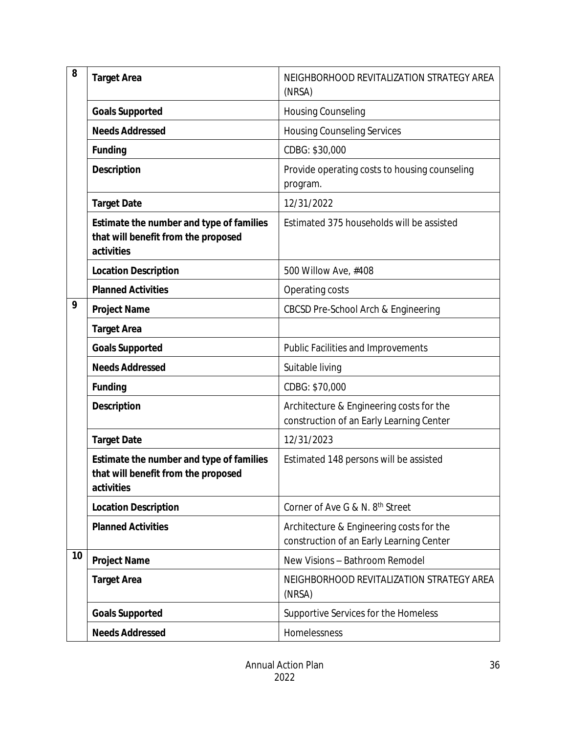| 8  | <b>Target Area</b>                                                                            | NEIGHBORHOOD REVITALIZATION STRATEGY AREA<br>(NRSA)                                  |
|----|-----------------------------------------------------------------------------------------------|--------------------------------------------------------------------------------------|
|    | <b>Goals Supported</b>                                                                        | <b>Housing Counseling</b>                                                            |
|    | <b>Needs Addressed</b>                                                                        | <b>Housing Counseling Services</b>                                                   |
|    | <b>Funding</b>                                                                                | CDBG: \$30,000                                                                       |
|    | <b>Description</b>                                                                            | Provide operating costs to housing counseling<br>program.                            |
|    | <b>Target Date</b>                                                                            | 12/31/2022                                                                           |
|    | Estimate the number and type of families<br>that will benefit from the proposed<br>activities | Estimated 375 households will be assisted                                            |
|    | <b>Location Description</b>                                                                   | 500 Willow Ave, #408                                                                 |
|    | <b>Planned Activities</b>                                                                     | Operating costs                                                                      |
| 9  | <b>Project Name</b>                                                                           | CBCSD Pre-School Arch & Engineering                                                  |
|    | <b>Target Area</b>                                                                            |                                                                                      |
|    | <b>Goals Supported</b>                                                                        | Public Facilities and Improvements                                                   |
|    | <b>Needs Addressed</b>                                                                        | Suitable living                                                                      |
|    | <b>Funding</b>                                                                                | CDBG: \$70,000                                                                       |
|    | <b>Description</b>                                                                            | Architecture & Engineering costs for the<br>construction of an Early Learning Center |
|    | <b>Target Date</b>                                                                            | 12/31/2023                                                                           |
|    | Estimate the number and type of families<br>that will benefit from the proposed<br>activities | Estimated 148 persons will be assisted                                               |
|    | <b>Location Description</b>                                                                   | Corner of Ave G & N. 8th Street                                                      |
|    | <b>Planned Activities</b>                                                                     | Architecture & Engineering costs for the<br>construction of an Early Learning Center |
| 10 | <b>Project Name</b>                                                                           | New Visions - Bathroom Remodel                                                       |
|    | <b>Target Area</b>                                                                            | NEIGHBORHOOD REVITALIZATION STRATEGY AREA<br>(NRSA)                                  |
|    | <b>Goals Supported</b>                                                                        | Supportive Services for the Homeless                                                 |
|    | <b>Needs Addressed</b>                                                                        | Homelessness                                                                         |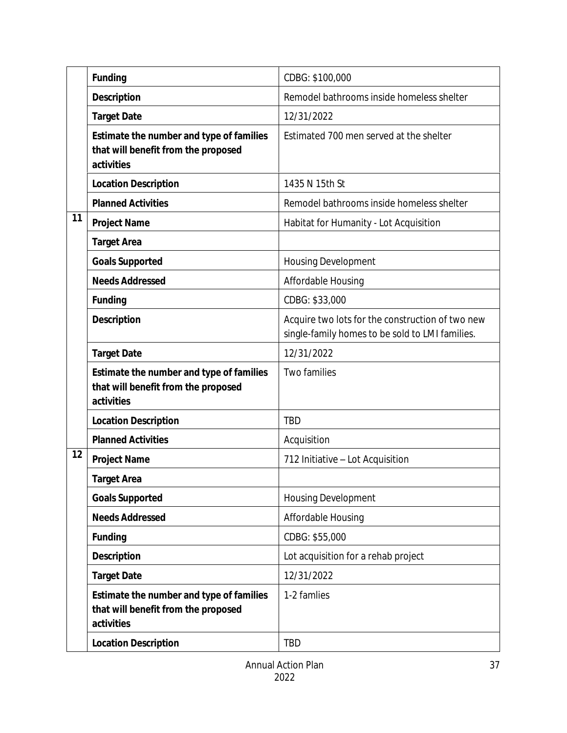|    | <b>Funding</b>                                                                                | CDBG: \$100,000                                                                                     |
|----|-----------------------------------------------------------------------------------------------|-----------------------------------------------------------------------------------------------------|
|    | <b>Description</b>                                                                            | Remodel bathrooms inside homeless shelter                                                           |
|    | <b>Target Date</b>                                                                            | 12/31/2022                                                                                          |
|    | Estimate the number and type of families<br>that will benefit from the proposed<br>activities | Estimated 700 men served at the shelter                                                             |
|    | <b>Location Description</b>                                                                   | 1435 N 15th St                                                                                      |
|    | <b>Planned Activities</b>                                                                     | Remodel bathrooms inside homeless shelter                                                           |
| 11 | <b>Project Name</b>                                                                           | Habitat for Humanity - Lot Acquisition                                                              |
|    | <b>Target Area</b>                                                                            |                                                                                                     |
|    | <b>Goals Supported</b>                                                                        | <b>Housing Development</b>                                                                          |
|    | <b>Needs Addressed</b>                                                                        | Affordable Housing                                                                                  |
|    | <b>Funding</b>                                                                                | CDBG: \$33,000                                                                                      |
|    | Description                                                                                   | Acquire two lots for the construction of two new<br>single-family homes to be sold to LMI families. |
|    | <b>Target Date</b>                                                                            | 12/31/2022                                                                                          |
|    | Estimate the number and type of families<br>that will benefit from the proposed<br>activities | Two families                                                                                        |
|    | <b>Location Description</b>                                                                   | <b>TBD</b>                                                                                          |
|    | <b>Planned Activities</b>                                                                     | Acquisition                                                                                         |
| 12 | <b>Project Name</b>                                                                           | 712 Initiative - Lot Acquisition                                                                    |
|    | <b>Target Area</b>                                                                            |                                                                                                     |
|    | <b>Goals Supported</b>                                                                        | <b>Housing Development</b>                                                                          |
|    | <b>Needs Addressed</b>                                                                        | Affordable Housing                                                                                  |
|    | <b>Funding</b>                                                                                | CDBG: \$55,000                                                                                      |
|    | <b>Description</b>                                                                            | Lot acquisition for a rehab project                                                                 |
|    | <b>Target Date</b>                                                                            | 12/31/2022                                                                                          |
|    | Estimate the number and type of families<br>that will benefit from the proposed<br>activities | 1-2 famlies                                                                                         |
|    | <b>Location Description</b>                                                                   | TBD                                                                                                 |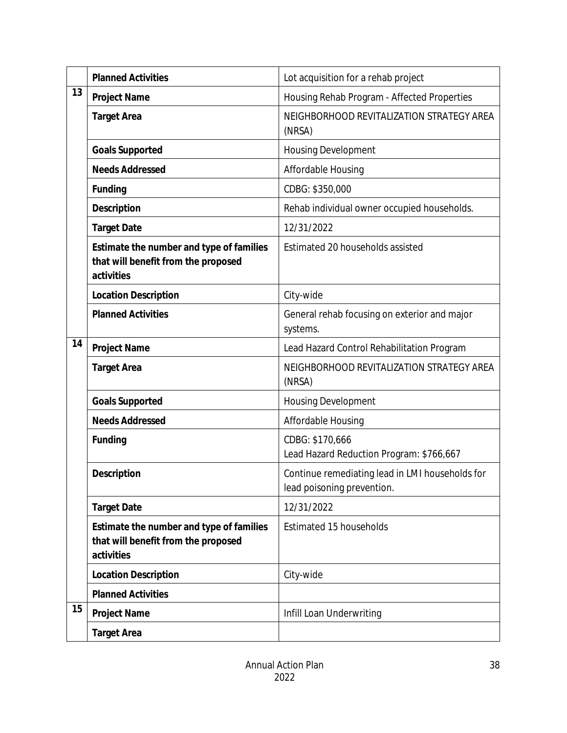|    | <b>Planned Activities</b>                                                                     | Lot acquisition for a rehab project                                           |
|----|-----------------------------------------------------------------------------------------------|-------------------------------------------------------------------------------|
| 13 | <b>Project Name</b>                                                                           | Housing Rehab Program - Affected Properties                                   |
|    | <b>Target Area</b>                                                                            | NEIGHBORHOOD REVITALIZATION STRATEGY AREA<br>(NRSA)                           |
|    | <b>Goals Supported</b>                                                                        | <b>Housing Development</b>                                                    |
|    | <b>Needs Addressed</b>                                                                        | Affordable Housing                                                            |
|    | <b>Funding</b>                                                                                | CDBG: \$350,000                                                               |
|    | Description                                                                                   | Rehab individual owner occupied households.                                   |
|    | <b>Target Date</b>                                                                            | 12/31/2022                                                                    |
|    | Estimate the number and type of families<br>that will benefit from the proposed<br>activities | Estimated 20 households assisted                                              |
|    | <b>Location Description</b>                                                                   | City-wide                                                                     |
|    | <b>Planned Activities</b>                                                                     | General rehab focusing on exterior and major<br>systems.                      |
| 14 | <b>Project Name</b>                                                                           | Lead Hazard Control Rehabilitation Program                                    |
|    | <b>Target Area</b>                                                                            | NEIGHBORHOOD REVITALIZATION STRATEGY AREA<br>(NRSA)                           |
|    | <b>Goals Supported</b>                                                                        | <b>Housing Development</b>                                                    |
|    | <b>Needs Addressed</b>                                                                        | Affordable Housing                                                            |
|    | <b>Funding</b>                                                                                | CDBG: \$170,666<br>Lead Hazard Reduction Program: \$766,667                   |
|    | Description                                                                                   | Continue remediating lead in LMI households for<br>lead poisoning prevention. |
|    | <b>Target Date</b>                                                                            | 12/31/2022                                                                    |
|    | Estimate the number and type of families<br>that will benefit from the proposed<br>activities | Estimated 15 households                                                       |
|    | <b>Location Description</b>                                                                   | City-wide                                                                     |
|    | <b>Planned Activities</b>                                                                     |                                                                               |
| 15 | <b>Project Name</b>                                                                           | Infill Loan Underwriting                                                      |
|    | <b>Target Area</b>                                                                            |                                                                               |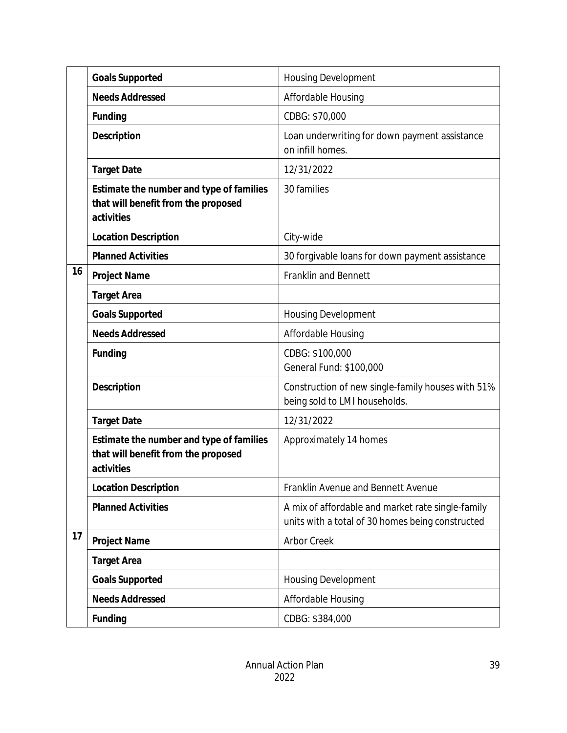|    | <b>Goals Supported</b>                                                                        | <b>Housing Development</b>                                                                            |
|----|-----------------------------------------------------------------------------------------------|-------------------------------------------------------------------------------------------------------|
|    | <b>Needs Addressed</b>                                                                        | Affordable Housing                                                                                    |
|    | <b>Funding</b>                                                                                | CDBG: \$70,000                                                                                        |
|    | <b>Description</b>                                                                            | Loan underwriting for down payment assistance<br>on infill homes.                                     |
|    | <b>Target Date</b>                                                                            | 12/31/2022                                                                                            |
|    | Estimate the number and type of families<br>that will benefit from the proposed<br>activities | 30 families                                                                                           |
|    | <b>Location Description</b>                                                                   | City-wide                                                                                             |
|    | <b>Planned Activities</b>                                                                     | 30 forgivable loans for down payment assistance                                                       |
| 16 | <b>Project Name</b>                                                                           | Franklin and Bennett                                                                                  |
|    | <b>Target Area</b>                                                                            |                                                                                                       |
|    | <b>Goals Supported</b>                                                                        | <b>Housing Development</b>                                                                            |
|    | <b>Needs Addressed</b>                                                                        | Affordable Housing                                                                                    |
|    | <b>Funding</b>                                                                                | CDBG: \$100,000<br>General Fund: \$100,000                                                            |
|    | <b>Description</b>                                                                            | Construction of new single-family houses with 51%<br>being sold to LMI households.                    |
|    | <b>Target Date</b>                                                                            | 12/31/2022                                                                                            |
|    | Estimate the number and type of families<br>that will benefit from the proposed<br>activities | Approximately 14 homes                                                                                |
|    | <b>Location Description</b>                                                                   | Franklin Avenue and Bennett Avenue                                                                    |
|    | <b>Planned Activities</b>                                                                     | A mix of affordable and market rate single-family<br>units with a total of 30 homes being constructed |
| 17 | <b>Project Name</b>                                                                           | <b>Arbor Creek</b>                                                                                    |
|    | <b>Target Area</b>                                                                            |                                                                                                       |
|    | <b>Goals Supported</b>                                                                        | <b>Housing Development</b>                                                                            |
|    | <b>Needs Addressed</b>                                                                        | Affordable Housing                                                                                    |
|    | <b>Funding</b>                                                                                | CDBG: \$384,000                                                                                       |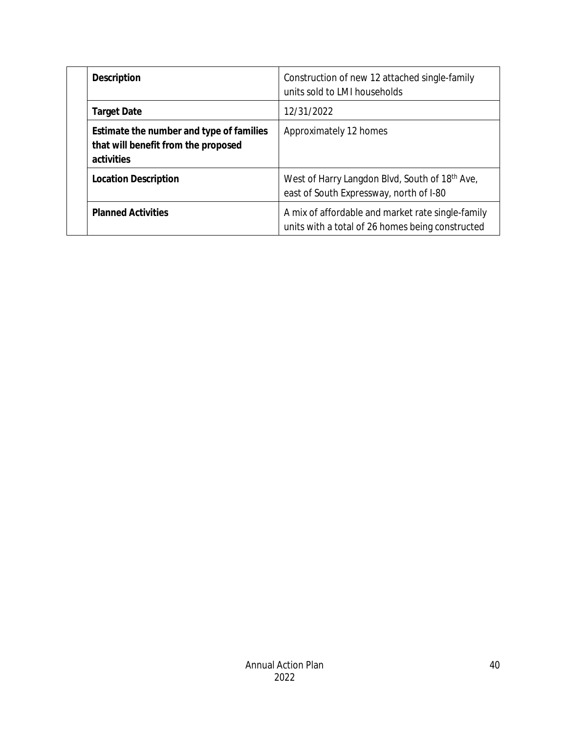| <b>Description</b>                                                                            | Construction of new 12 attached single-family<br>units sold to LMI households                         |
|-----------------------------------------------------------------------------------------------|-------------------------------------------------------------------------------------------------------|
| <b>Target Date</b>                                                                            | 12/31/2022                                                                                            |
| Estimate the number and type of families<br>that will benefit from the proposed<br>activities | Approximately 12 homes                                                                                |
| <b>Location Description</b>                                                                   | West of Harry Langdon Blvd, South of 18th Ave,<br>east of South Expressway, north of I-80             |
| <b>Planned Activities</b>                                                                     | A mix of affordable and market rate single-family<br>units with a total of 26 homes being constructed |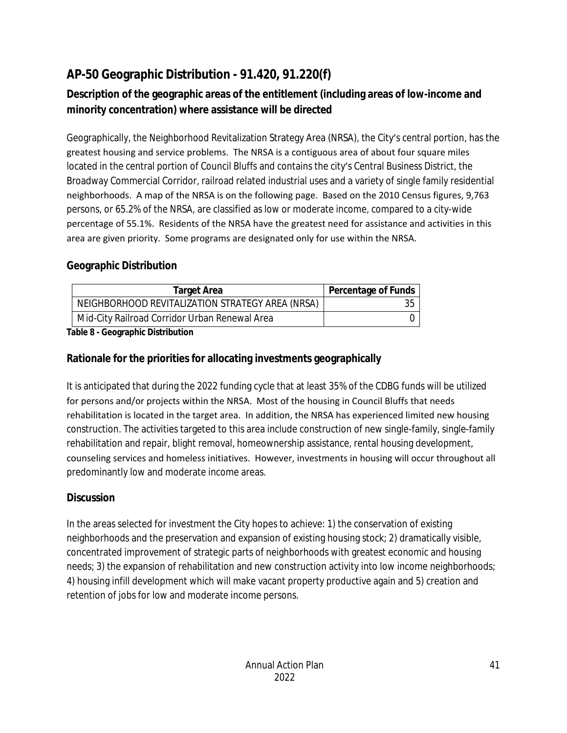# **AP-50 Geographic Distribution - 91.420, 91.220(f)**

## **Description of the geographic areas of the entitlement (including areas of low-income and minority concentration) where assistance will be directed**

Geographically, the Neighborhood Revitalization Strategy Area (NRSA), the City's central portion, has the greatest housing and service problems. The NRSA is a contiguous area of about four square miles located in the central portion of Council Bluffs and contains the city's Central Business District, the Broadway Commercial Corridor, railroad related industrial uses and a variety of single family residential neighborhoods. A map of the NRSA is on the following page. Based on the 2010 Census figures, 9,763 persons, or 65.2% of the NRSA, are classified as low or moderate income, compared to a city-wide percentage of 55.1%. Residents of the NRSA have the greatest need for assistance and activities in this area are given priority. Some programs are designated only for use within the NRSA.

### **Geographic Distribution**

| <b>Target Area</b>                               | <b>Percentage of Funds</b> |
|--------------------------------------------------|----------------------------|
| NEIGHBORHOOD REVITALIZATION STRATEGY AREA (NRSA) | 35                         |
| Mid-City Railroad Corridor Urban Renewal Area    |                            |

**Table 8 - Geographic Distribution**

### **Rationale for the priorities for allocating investments geographically**

It is anticipated that during the 2022 funding cycle that at least 35% of the CDBG funds will be utilized for persons and/or projects within the NRSA. Most of the housing in Council Bluffs that needs rehabilitation is located in the target area. In addition, the NRSA has experienced limited new housing construction. The activities targeted to this area include construction of new single-family, single-family rehabilitation and repair, blight removal, homeownership assistance, rental housing development, counseling services and homeless initiatives. However, investments in housing will occur throughout all predominantly low and moderate income areas.

### **Discussion**

In the areas selected for investment the City hopes to achieve: 1) the conservation of existing neighborhoods and the preservation and expansion of existing housing stock; 2) dramatically visible, concentrated improvement of strategic parts of neighborhoods with greatest economic and housing needs; 3) the expansion of rehabilitation and new construction activity into low income neighborhoods; 4) housing infill development which will make vacant property productive again and 5) creation and retention of jobs for low and moderate income persons.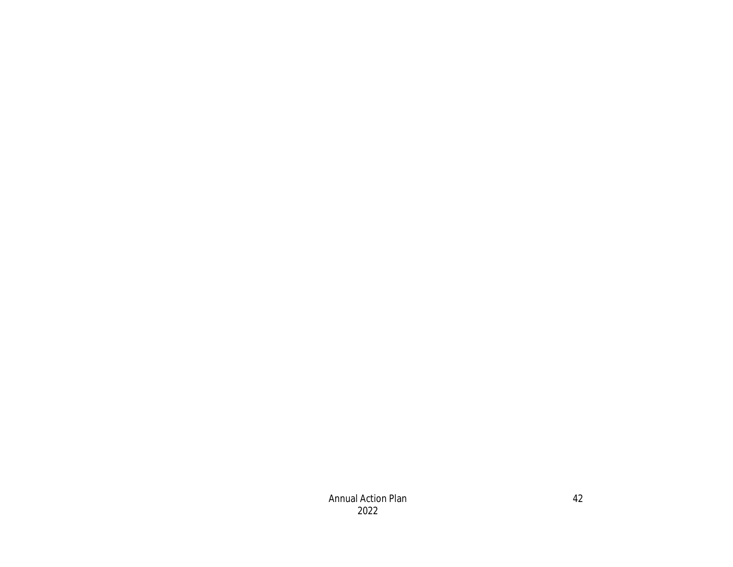Annual Action Plan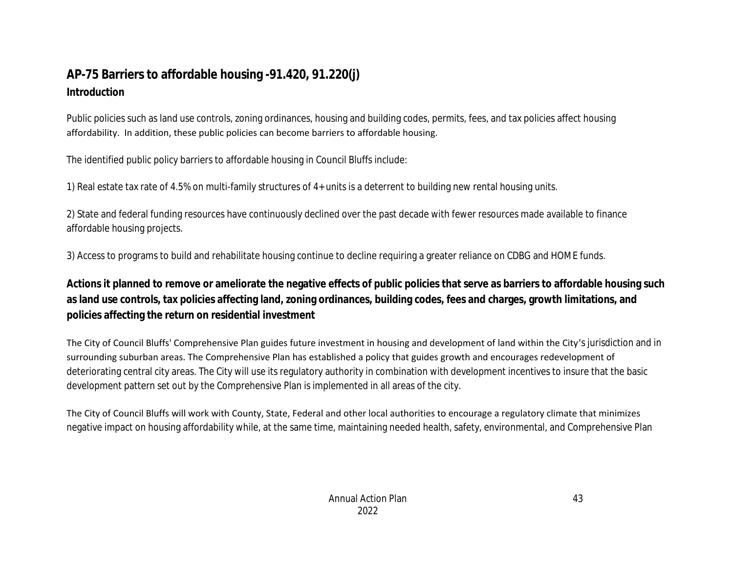# **AP-75 Barriers to affordable housing -91.420, 91.220(j) Introduction**

Public policies such as land use controls, zoning ordinances, housing and building codes, permits, fees, and tax policies affect housing affordability. In addition, these public policies can become barriers to affordable housing.

The identified public policy barriers to affordable housing in Council Bluffs include:

1) Real estate tax rate of 4.5% on multi-family structures of 4+ units is a deterrent to building new rental housing units.

2) State and federal funding resources have continuously declined over the past decade with fewer resources made available to finance affordable housing projects.

3) Access to programs to build and rehabilitate housing continue to decline requiring a greater reliance on CDBG and HOME funds.

## **Actions it planned to remove or ameliorate the negative effects of public policies that serve as barriers to affordable housing such as land use controls, tax policies affecting land, zoning ordinances, building codes, fees and charges, growth limitations, and policies affecting the return on residential investment**

The City of Council Bluffs' Comprehensive Plan guides future investment in housing and development of land within the City's jurisdiction and in surrounding suburban areas. The Comprehensive Plan has established a policy that guides growth and encourages redevelopment of deteriorating central city areas. The City will use its regulatory authority in combination with development incentives to insure that the basic development pattern set out by the Comprehensive Plan is implemented in all areas of the city.

The City of Council Bluffs will work with County, State, Federal and other local authorities to encourage a regulatory climate that minimizes negative impact on housing affordability while, at the same time, maintaining needed health, safety, environmental, and Comprehensive Plan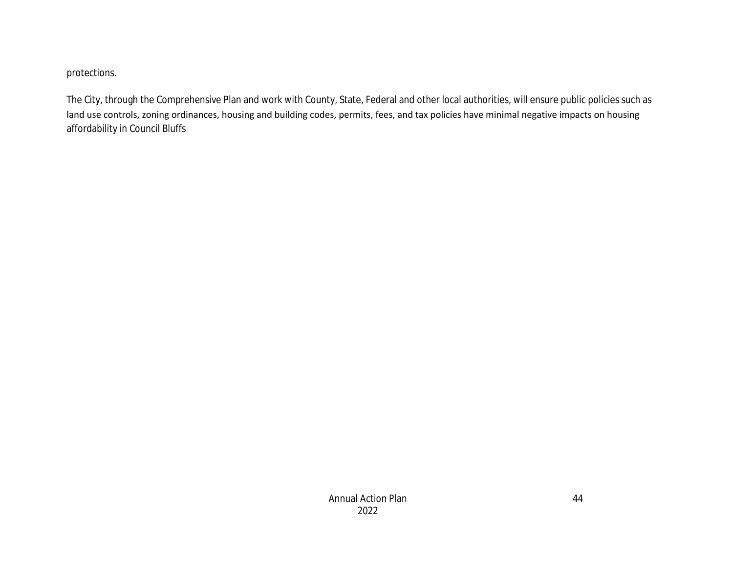protections.

The City, through the Comprehensive Plan and work with County, State, Federal and other local authorities, will ensure public policies such as land use controls, zoning ordinances, housing and building codes, permits, fees, and tax policies have minimal negative impacts on housing affordability in Council Bluffs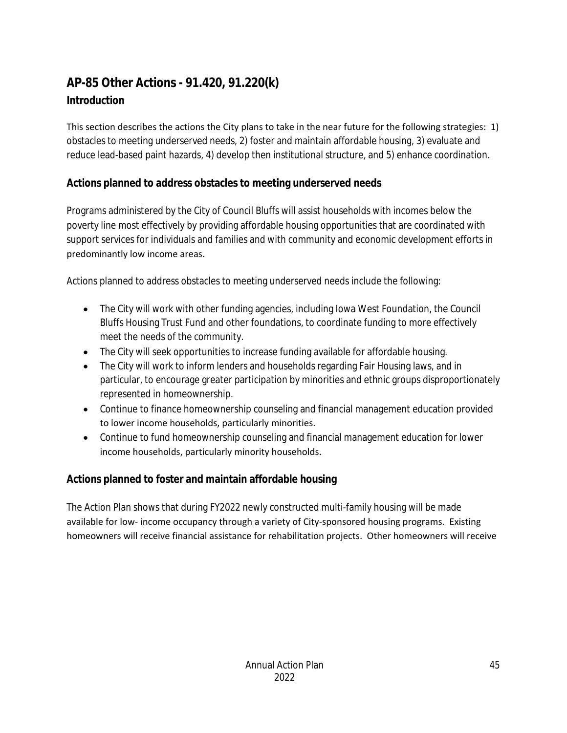# **AP-85 Other Actions - 91.420, 91.220(k) Introduction**

This section describes the actions the City plans to take in the near future for the following strategies: 1) obstacles to meeting underserved needs, 2) foster and maintain affordable housing, 3) evaluate and reduce lead-based paint hazards, 4) develop then institutional structure, and 5) enhance coordination.

#### **Actions planned to address obstacles to meeting underserved needs**

Programs administered by the City of Council Bluffs will assist households with incomes below the poverty line most effectively by providing affordable housing opportunities that are coordinated with support services for individuals and families and with community and economic development efforts in predominantly low income areas.

Actions planned to address obstacles to meeting underserved needs include the following:

- The City will work with other funding agencies, including Iowa West Foundation, the Council Bluffs Housing Trust Fund and other foundations, to coordinate funding to more effectively meet the needs of the community.
- The City will seek opportunities to increase funding available for affordable housing.
- The City will work to inform lenders and households regarding Fair Housing laws, and in particular, to encourage greater participation by minorities and ethnic groups disproportionately represented in homeownership.
- Continue to finance homeownership counseling and financial management education provided to lower income households, particularly minorities.
- Continue to fund homeownership counseling and financial management education for lower income households, particularly minority households.

### **Actions planned to foster and maintain affordable housing**

The Action Plan shows that during FY2022 newly constructed multi-family housing will be made available for low- income occupancy through a variety of City-sponsored housing programs. Existing homeowners will receive financial assistance for rehabilitation projects. Other homeowners will receive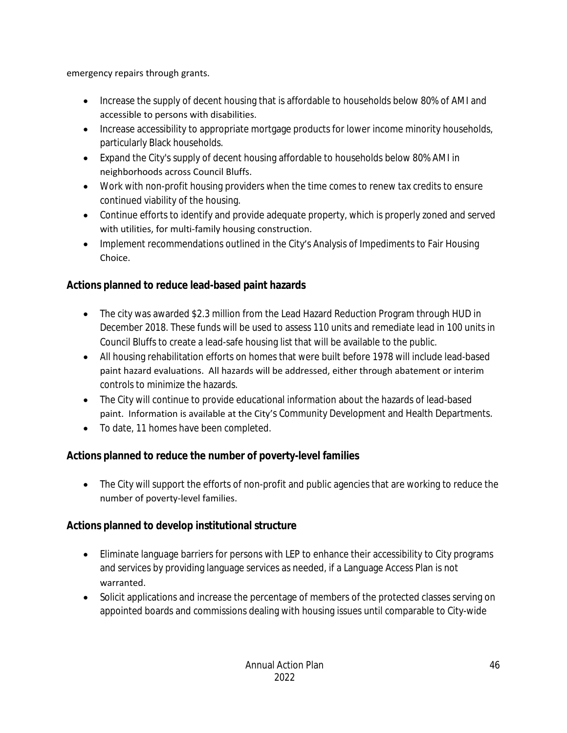emergency repairs through grants.

- Increase the supply of decent housing that is affordable to households below 80% of AMI and accessible to persons with disabilities.
- Increase accessibility to appropriate mortgage products for lower income minority households, particularly Black households.
- Expand the City's supply of decent housing affordable to households below 80% AMI in neighborhoods across Council Bluffs.
- Work with non-profit housing providers when the time comes to renew tax credits to ensure continued viability of the housing.
- Continue efforts to identify and provide adequate property, which is properly zoned and served with utilities, for multi-family housing construction.
- Implement recommendations outlined in the City's Analysis of Impediments to Fair Housing Choice.

### **Actions planned to reduce lead-based paint hazards**

- The city was awarded \$2.3 million from the Lead Hazard Reduction Program through HUD in December 2018. These funds will be used to assess 110 units and remediate lead in 100 units in Council Bluffs to create a lead-safe housing list that will be available to the public.
- All housing rehabilitation efforts on homes that were built before 1978 will include lead-based paint hazard evaluations. All hazards will be addressed, either through abatement or interim controls to minimize the hazards.
- The City will continue to provide educational information about the hazards of lead-based paint. Information is available at the City's Community Development and Health Departments.
- To date, 11 homes have been completed.

### **Actions planned to reduce the number of poverty-level families**

• The City will support the efforts of non-profit and public agencies that are working to reduce the number of poverty-level families.

### **Actions planned to develop institutional structure**

- Eliminate language barriers for persons with LEP to enhance their accessibility to City programs and services by providing language services as needed, if a Language Access Plan is not warranted.
- Solicit applications and increase the percentage of members of the protected classes serving on appointed boards and commissions dealing with housing issues until comparable to City-wide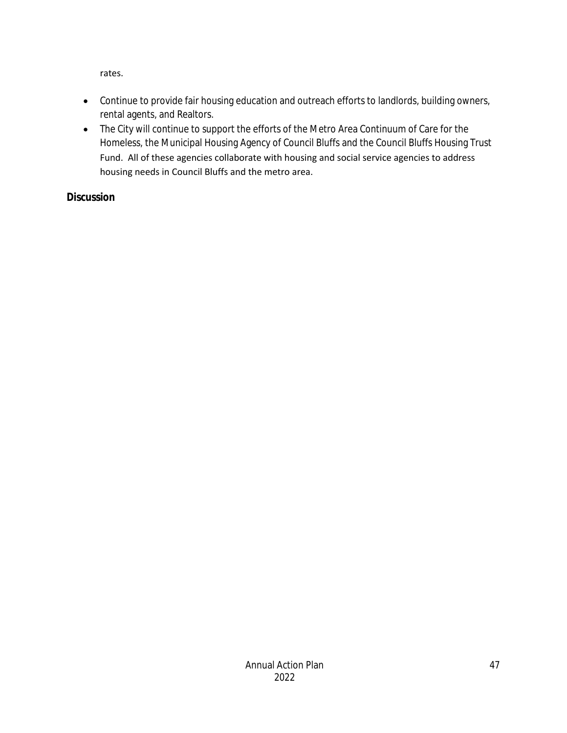rates.

- Continue to provide fair housing education and outreach efforts to landlords, building owners, rental agents, and Realtors.
- The City will continue to support the efforts of the Metro Area Continuum of Care for the Homeless, the Municipal Housing Agency of Council Bluffs and the Council Bluffs Housing Trust Fund. All of these agencies collaborate with housing and social service agencies to address housing needs in Council Bluffs and the metro area.

#### **Discussion**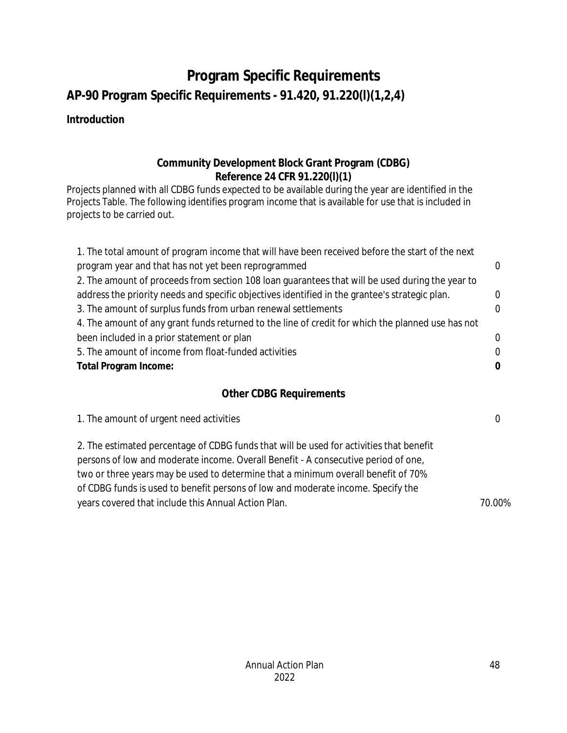# **Program Specific Requirements AP-90 Program Specific Requirements - 91.420, 91.220(l)(1,2,4)**

### **Introduction**

#### **Community Development Block Grant Program (CDBG) Reference 24 CFR 91.220(l)(1)**

Projects planned with all CDBG funds expected to be available during the year are identified in the Projects Table. The following identifies program income that is available for use that is included in projects to be carried out.

| 1. The total amount of program income that will have been received before the start of the next   |          |  |
|---------------------------------------------------------------------------------------------------|----------|--|
| program year and that has not yet been reprogrammed                                               | $\Omega$ |  |
| 2. The amount of proceeds from section 108 loan quarantees that will be used during the year to   |          |  |
| address the priority needs and specific objectives identified in the grantee's strategic plan.    | $\Omega$ |  |
| 3. The amount of surplus funds from urban renewal settlements                                     | $\Omega$ |  |
| 4. The amount of any grant funds returned to the line of credit for which the planned use has not |          |  |
| been included in a prior statement or plan                                                        | $\Omega$ |  |
| 5. The amount of income from float-funded activities                                              | $\Omega$ |  |
| <b>Total Program Income:</b>                                                                      |          |  |
|                                                                                                   |          |  |

### **Other CDBG Requirements**

| 1. The amount of urgent need activities                                                 |        |
|-----------------------------------------------------------------------------------------|--------|
| 2. The estimated percentage of CDBG funds that will be used for activities that benefit |        |
| persons of low and moderate income. Overall Benefit - A consecutive period of one,      |        |
| two or three years may be used to determine that a minimum overall benefit of 70%       |        |
| of CDBG funds is used to benefit persons of low and moderate income. Specify the        |        |
| years covered that include this Annual Action Plan.                                     | 70.00% |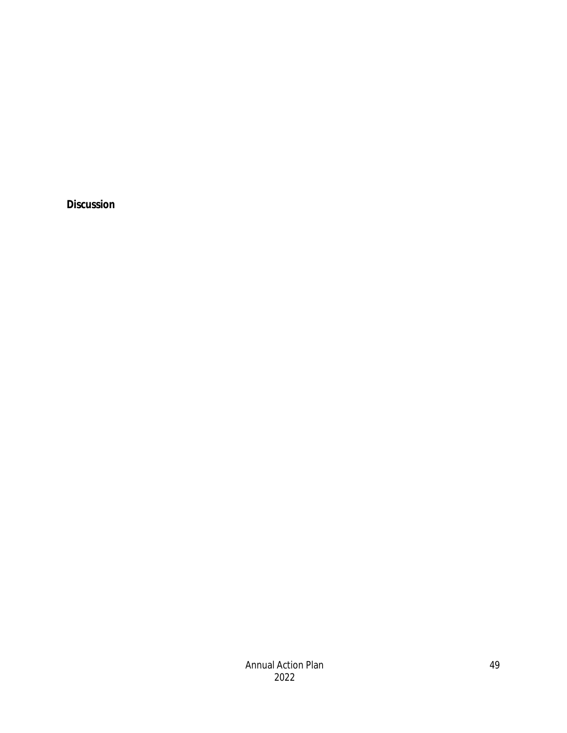**Discussion**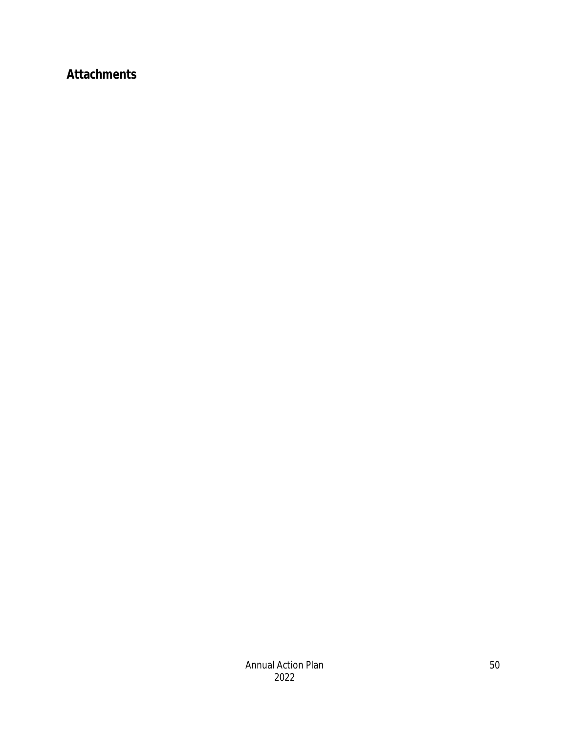# **Attachments**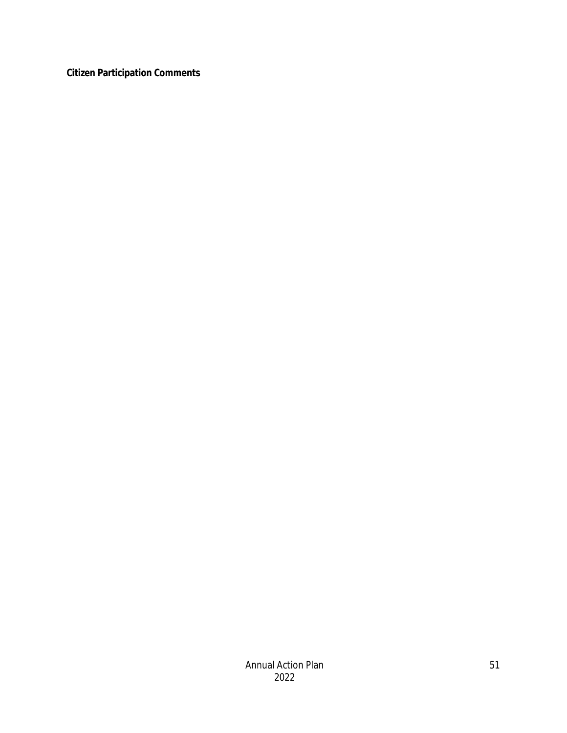**Citizen Participation Comments**